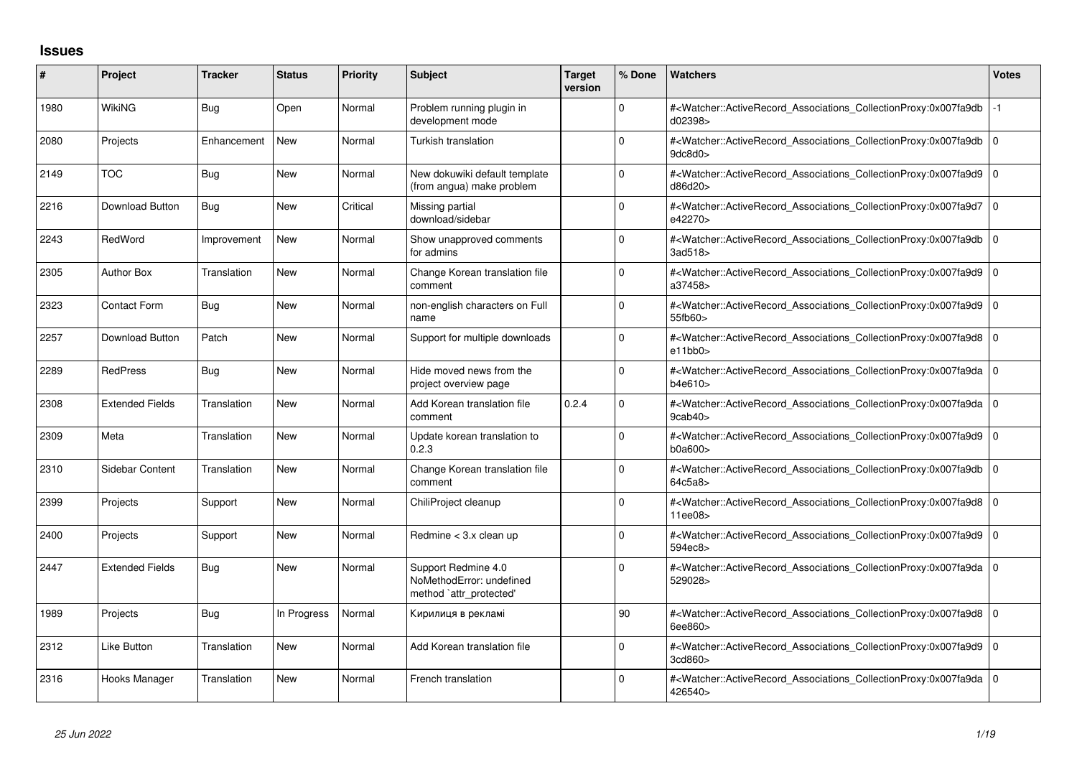## **Issues**

| #    | Project                | <b>Tracker</b> | <b>Status</b> | <b>Priority</b> | <b>Subject</b>                                                             | <b>Target</b><br>version | % Done       | <b>Watchers</b>                                                                                                                                                     | <b>Votes</b> |
|------|------------------------|----------------|---------------|-----------------|----------------------------------------------------------------------------|--------------------------|--------------|---------------------------------------------------------------------------------------------------------------------------------------------------------------------|--------------|
| 1980 | <b>WikiNG</b>          | <b>Bug</b>     | Open          | Normal          | Problem running plugin in<br>development mode                              |                          | $\Omega$     | # <watcher::activerecord_associations_collectionproxy:0x007fa9db<br>d02398&gt;</watcher::activerecord_associations_collectionproxy:0x007fa9db<br>                   |              |
| 2080 | Projects               | Enhancement    | <b>New</b>    | Normal          | Turkish translation                                                        |                          | $\Omega$     | # <watcher::activerecord_associations_collectionproxy:0x007fa9db 0<br=""  ="">9dc8d0<sub>&gt;</sub></watcher::activerecord_associations_collectionproxy:0x007fa9db> |              |
| 2149 | <b>TOC</b>             | <b>Bug</b>     | <b>New</b>    | Normal          | New dokuwiki default template<br>(from angua) make problem                 |                          | $\Omega$     | # <watcher::activerecord_associations_collectionproxy:0x007fa9d9 0<br="">d86d20&gt;</watcher::activerecord_associations_collectionproxy:0x007fa9d9>                 |              |
| 2216 | Download Button        | <b>Bug</b>     | <b>New</b>    | Critical        | Missing partial<br>download/sidebar                                        |                          | $\Omega$     | # <watcher::activerecord 0<br="" associations="" collectionproxy:0x007fa9d7=""  ="">e42270&gt;</watcher::activerecord>                                              |              |
| 2243 | RedWord                | Improvement    | <b>New</b>    | Normal          | Show unapproved comments<br>for admins                                     |                          | $\Omega$     | # <watcher::activerecord_associations_collectionproxy:0x007fa9db 0<br="">3ad518&gt;</watcher::activerecord_associations_collectionproxy:0x007fa9db>                 |              |
| 2305 | <b>Author Box</b>      | Translation    | <b>New</b>    | Normal          | Change Korean translation file<br>comment                                  |                          | 0            | # <watcher::activerecord 0<br="" associations="" collectionproxy:0x007fa9d9=""  ="">a37458&gt;</watcher::activerecord>                                              |              |
| 2323 | Contact Form           | Bug            | <b>New</b>    | Normal          | non-english characters on Full<br>name                                     |                          | 0            | # <watcher::activerecord_associations_collectionproxy:0x007fa9d9 0<br="">55fb60&gt;</watcher::activerecord_associations_collectionproxy:0x007fa9d9>                 |              |
| 2257 | Download Button        | Patch          | New           | Normal          | Support for multiple downloads                                             |                          | $\Omega$     | # <watcher::activerecord 0<br="" associations="" collectionproxy:0x007fa9d8=""  ="">e11bb0</watcher::activerecord>                                                  |              |
| 2289 | <b>RedPress</b>        | <b>Bug</b>     | <b>New</b>    | Normal          | Hide moved news from the<br>project overview page                          |                          | $\Omega$     | # <watcher::activerecord 0<br="" associations="" collectionproxy:0x007fa9da=""  ="">b4e610&gt;</watcher::activerecord>                                              |              |
| 2308 | <b>Extended Fields</b> | Translation    | <b>New</b>    | Normal          | Add Korean translation file<br>comment                                     | 0.2.4                    | <sup>0</sup> | # <watcher::activerecord 0<br="" associations="" collectionproxy:0x007fa9da=""  ="">9cab40&gt;</watcher::activerecord>                                              |              |
| 2309 | Meta                   | Translation    | <b>New</b>    | Normal          | Update korean translation to<br>0.2.3                                      |                          | $\Omega$     | # <watcher::activerecord_associations_collectionproxy:0x007fa9d9 0<br="">b0a600&gt;</watcher::activerecord_associations_collectionproxy:0x007fa9d9>                 |              |
| 2310 | <b>Sidebar Content</b> | Translation    | <b>New</b>    | Normal          | Change Korean translation file<br>comment                                  |                          | $\Omega$     | # <watcher::activerecord 0<br="" associations="" collectionproxy:0x007fa9db=""  ="">64c5a8&gt;</watcher::activerecord>                                              |              |
| 2399 | Projects               | Support        | <b>New</b>    | Normal          | ChiliProject cleanup                                                       |                          | $\Omega$     | # <watcher::activerecord_associations_collectionproxy:0x007fa9d8 0<br="">11ee08&gt;</watcher::activerecord_associations_collectionproxy:0x007fa9d8>                 |              |
| 2400 | Projects               | Support        | <b>New</b>    | Normal          | Redmine < 3.x clean up                                                     |                          | 0            | # <watcher::activerecord 0<br="" associations="" collectionproxy:0x007fa9d9=""  ="">594ec8&gt;</watcher::activerecord>                                              |              |
| 2447 | <b>Extended Fields</b> | Bug            | <b>New</b>    | Normal          | Support Redmine 4.0<br>NoMethodError: undefined<br>method `attr_protected' |                          | 0            | # <watcher::activerecord_associations_collectionproxy:0x007fa9da 0<br="">529028&gt;</watcher::activerecord_associations_collectionproxy:0x007fa9da>                 |              |
| 1989 | Projects               | <b>Bug</b>     | In Progress   | Normal          | Кирилиця в рекламі                                                         |                          | 90           | # <watcher::activerecord_associations_collectionproxy:0x007fa9d8 0<br=""  ="">6ee860&gt;</watcher::activerecord_associations_collectionproxy:0x007fa9d8>            |              |
| 2312 | Like Button            | Translation    | <b>New</b>    | Normal          | Add Korean translation file                                                |                          | 0            | # <watcher::activerecord 0<br="" associations="" collectionproxy:0x007fa9d9=""  ="">3cd860&gt;</watcher::activerecord>                                              |              |
| 2316 | Hooks Manager          | Translation    | <b>New</b>    | Normal          | French translation                                                         |                          | 0            | # <watcher::activerecord_associations_collectionproxy:0x007fa9da 0<br="">426540&gt;</watcher::activerecord_associations_collectionproxy:0x007fa9da>                 |              |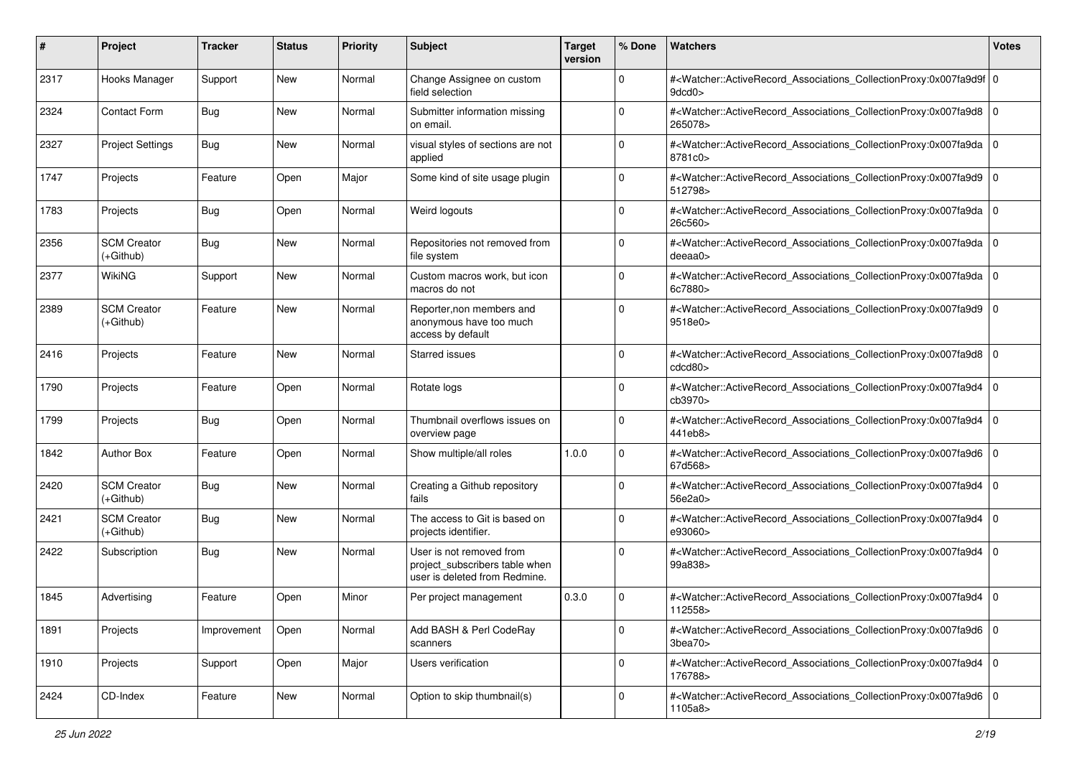| #    | Project                           | <b>Tracker</b> | <b>Status</b> | <b>Priority</b> | <b>Subject</b>                                                                              | <b>Target</b><br>version | % Done      | Watchers                                                                                                                                                     | <b>Votes</b> |
|------|-----------------------------------|----------------|---------------|-----------------|---------------------------------------------------------------------------------------------|--------------------------|-------------|--------------------------------------------------------------------------------------------------------------------------------------------------------------|--------------|
| 2317 | Hooks Manager                     | Support        | New           | Normal          | Change Assignee on custom<br>field selection                                                |                          | $\mathbf 0$ | # <watcher::activerecord_associations_collectionproxy:0x007fa9d9f 0<br="">9dcd0</watcher::activerecord_associations_collectionproxy:0x007fa9d9f>             |              |
| 2324 | <b>Contact Form</b>               | <b>Bug</b>     | New           | Normal          | Submitter information missing<br>on email.                                                  |                          | $\Omega$    | # <watcher::activerecord_associations_collectionproxy:0x007fa9d8 0<br=""  ="">265078&gt;</watcher::activerecord_associations_collectionproxy:0x007fa9d8>     |              |
| 2327 | <b>Project Settings</b>           | <b>Bug</b>     | New           | Normal          | visual styles of sections are not<br>applied                                                |                          | 0           | # <watcher::activerecord_associations_collectionproxy:0x007fa9da 0<br=""  ="">8781c0&gt;</watcher::activerecord_associations_collectionproxy:0x007fa9da>     |              |
| 1747 | Projects                          | Feature        | Open          | Major           | Some kind of site usage plugin                                                              |                          | $\mathbf 0$ | # <watcher::activerecord_associations_collectionproxy:0x007fa9d9<br>512798&gt;</watcher::activerecord_associations_collectionproxy:0x007fa9d9<br>            | 10           |
| 1783 | Projects                          | <b>Bug</b>     | Open          | Normal          | Weird logouts                                                                               |                          | $\Omega$    | # <watcher::activerecord_associations_collectionproxy:0x007fa9da 0<br=""  ="">26c560&gt;</watcher::activerecord_associations_collectionproxy:0x007fa9da>     |              |
| 2356 | <b>SCM Creator</b><br>(+Github)   | <b>Bug</b>     | New           | Normal          | Repositories not removed from<br>file system                                                |                          | $\Omega$    | # <watcher::activerecord_associations_collectionproxy:0x007fa9da 0<br=""  ="">deeaa0&gt;</watcher::activerecord_associations_collectionproxy:0x007fa9da>     |              |
| 2377 | <b>WikiNG</b>                     | Support        | New           | Normal          | Custom macros work, but icon<br>macros do not                                               |                          | $\Omega$    | # <watcher::activerecord_associations_collectionproxy:0x007fa9da<br>6c7880&gt;</watcher::activerecord_associations_collectionproxy:0x007fa9da<br>            | l O          |
| 2389 | <b>SCM Creator</b><br>$(+Github)$ | Feature        | <b>New</b>    | Normal          | Reporter, non members and<br>anonymous have too much<br>access by default                   |                          | $\mathbf 0$ | # <watcher::activerecord_associations_collectionproxy:0x007fa9d9<br>9518e0&gt;</watcher::activerecord_associations_collectionproxy:0x007fa9d9<br>            | l O          |
| 2416 | Projects                          | Feature        | <b>New</b>    | Normal          | <b>Starred issues</b>                                                                       |                          | $\mathbf 0$ | # <watcher::activerecord_associations_collectionproxy:0x007fa9d8<br>cdcd80<sub>&gt;</sub></watcher::activerecord_associations_collectionproxy:0x007fa9d8<br> | l O          |
| 1790 | Projects                          | Feature        | Open          | Normal          | Rotate logs                                                                                 |                          | $\Omega$    | # <watcher::activerecord_associations_collectionproxy:0x007fa9d4<br>cb3970&gt;</watcher::activerecord_associations_collectionproxy:0x007fa9d4<br>            | l 0          |
| 1799 | Projects                          | <b>Bug</b>     | Open          | Normal          | Thumbnail overflows issues on<br>overview page                                              |                          | $\Omega$    | # <watcher::activerecord_associations_collectionproxy:0x007fa9d4<br>441eb8&gt;</watcher::activerecord_associations_collectionproxy:0x007fa9d4<br>            | l O          |
| 1842 | <b>Author Box</b>                 | Feature        | Open          | Normal          | Show multiple/all roles                                                                     | 1.0.0                    | $\Omega$    | # <watcher::activerecord_associations_collectionproxy:0x007fa9d6<br>67d568&gt;</watcher::activerecord_associations_collectionproxy:0x007fa9d6<br>            | l O          |
| 2420 | <b>SCM Creator</b><br>(+Github)   | Bug            | New           | Normal          | Creating a Github repository<br>fails                                                       |                          | $\Omega$    | # <watcher::activerecord_associations_collectionproxy:0x007fa9d4 0<br=""  ="">56e2a0&gt;</watcher::activerecord_associations_collectionproxy:0x007fa9d4>     |              |
| 2421 | <b>SCM Creator</b><br>(+Github)   | <b>Bug</b>     | New           | Normal          | The access to Git is based on<br>projects identifier.                                       |                          | $\Omega$    | # <watcher::activerecord_associations_collectionproxy:0x007fa9d4<br>e93060&gt;</watcher::activerecord_associations_collectionproxy:0x007fa9d4<br>            | l O          |
| 2422 | Subscription                      | <b>Bug</b>     | New           | Normal          | User is not removed from<br>project_subscribers table when<br>user is deleted from Redmine. |                          | $\Omega$    | # <watcher::activerecord_associations_collectionproxy:0x007fa9d4<br>99a838&gt;</watcher::activerecord_associations_collectionproxy:0x007fa9d4<br>            | l 0          |
| 1845 | Advertising                       | Feature        | Open          | Minor           | Per project management                                                                      | 0.3.0                    | 0           | # <watcher::activerecord_associations_collectionproxy:0x007fa9d4 0<br=""  ="">112558&gt;</watcher::activerecord_associations_collectionproxy:0x007fa9d4>     |              |
| 1891 | Projects                          | Improvement    | Open          | Normal          | Add BASH & Perl CodeRay<br>scanners                                                         |                          | $\mathbf 0$ | # <watcher::activerecord 0<br="" associations="" collectionproxy:0x007fa9d6="">3bea70</watcher::activerecord>                                                |              |
| 1910 | Projects                          | Support        | Open          | Major           | Users verification                                                                          |                          | $\mathbf 0$ | # <watcher::activerecord_associations_collectionproxy:0x007fa9d4 0<br="">176788&gt;</watcher::activerecord_associations_collectionproxy:0x007fa9d4>          |              |
| 2424 | CD-Index                          | Feature        | New           | Normal          | Option to skip thumbnail(s)                                                                 |                          | $\mathbf 0$ | # <watcher::activerecord_associations_collectionproxy:0x007fa9d6 0<br="">1105a8&gt;</watcher::activerecord_associations_collectionproxy:0x007fa9d6>          |              |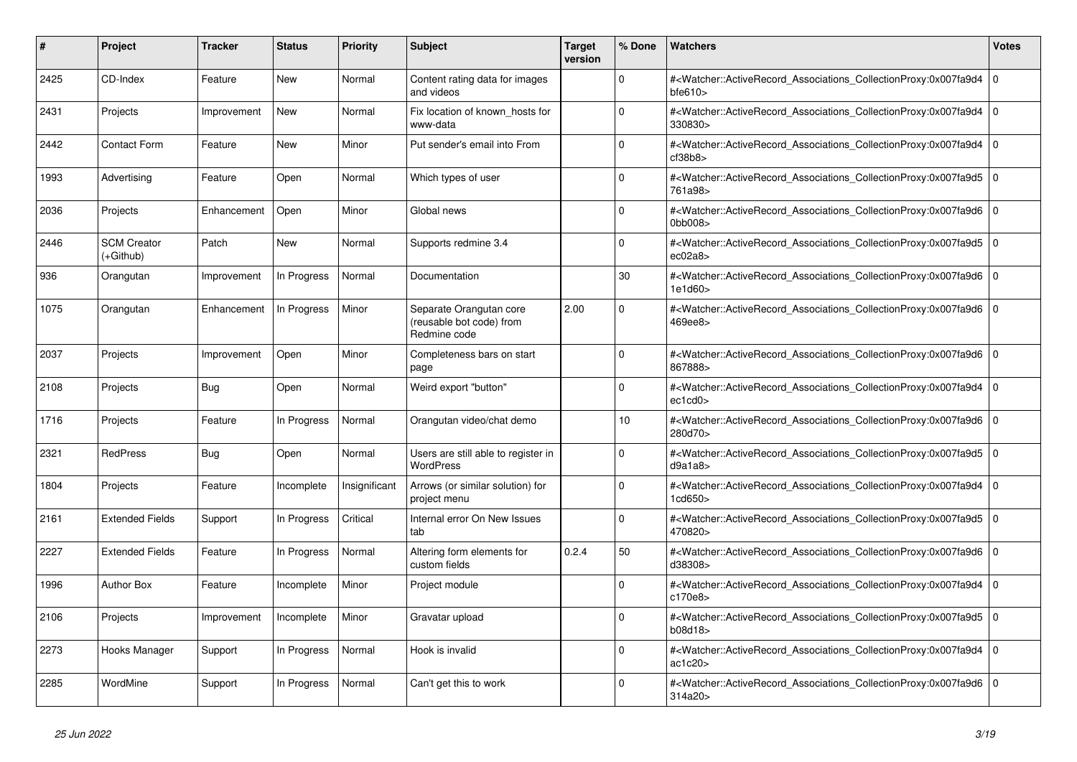| #    | Project                         | <b>Tracker</b> | <b>Status</b> | <b>Priority</b> | <b>Subject</b>                                                      | <b>Target</b><br>version | % Done      | <b>Watchers</b>                                                                                                                                          | Votes          |
|------|---------------------------------|----------------|---------------|-----------------|---------------------------------------------------------------------|--------------------------|-------------|----------------------------------------------------------------------------------------------------------------------------------------------------------|----------------|
| 2425 | CD-Index                        | Feature        | <b>New</b>    | Normal          | Content rating data for images<br>and videos                        |                          | $\Omega$    | # <watcher::activerecord_associations_collectionproxy:0x007fa9d4<br>bfe610</watcher::activerecord_associations_collectionproxy:0x007fa9d4<br>            | 0              |
| 2431 | Projects                        | Improvement    | <b>New</b>    | Normal          | Fix location of known_hosts for<br>www-data                         |                          | $\Omega$    | # <watcher::activerecord_associations_collectionproxy:0x007fa9d4<br>330830&gt;</watcher::activerecord_associations_collectionproxy:0x007fa9d4<br>        | $\overline{0}$ |
| 2442 | <b>Contact Form</b>             | Feature        | New           | Minor           | Put sender's email into From                                        |                          | $\Omega$    | # <watcher::activerecord_associations_collectionproxy:0x007fa9d4<br>cf38b8</watcher::activerecord_associations_collectionproxy:0x007fa9d4<br>            | l o            |
| 1993 | Advertising                     | Feature        | Open          | Normal          | Which types of user                                                 |                          | $\Omega$    | # <watcher::activerecord_associations_collectionproxy:0x007fa9d5<br>761a98&gt;</watcher::activerecord_associations_collectionproxy:0x007fa9d5<br>        | $\overline{0}$ |
| 2036 | Projects                        | Enhancement    | Open          | Minor           | Global news                                                         |                          | $\Omega$    | # <watcher::activerecord associations="" collectionproxy:0x007fa9d6<br="">0bb008&gt;</watcher::activerecord>                                             | ١o             |
| 2446 | <b>SCM Creator</b><br>(+Github) | Patch          | <b>New</b>    | Normal          | Supports redmine 3.4                                                |                          | $\mathbf 0$ | # <watcher::activerecord_associations_collectionproxy:0x007fa9d5<br>ec02a8</watcher::activerecord_associations_collectionproxy:0x007fa9d5<br>            | l o            |
| 936  | Orangutan                       | Improvement    | In Progress   | Normal          | Documentation                                                       |                          | 30          | # <watcher::activerecord_associations_collectionproxy:0x007fa9d6<br>1e1d60&gt;</watcher::activerecord_associations_collectionproxy:0x007fa9d6<br>        | $\overline{0}$ |
| 1075 | Orangutan                       | Enhancement    | In Progress   | Minor           | Separate Orangutan core<br>(reusable bot code) from<br>Redmine code | 2.00                     | $\Omega$    | # <watcher::activerecord associations="" collectionproxy:0x007fa9d6<br="">469ee8&gt;</watcher::activerecord>                                             | l O            |
| 2037 | Projects                        | Improvement    | Open          | Minor           | Completeness bars on start<br>page                                  |                          | $\Omega$    | # <watcher::activerecord_associations_collectionproxy:0x007fa9d6 0<br=""  ="">867888&gt;</watcher::activerecord_associations_collectionproxy:0x007fa9d6> |                |
| 2108 | Projects                        | Bug            | Open          | Normal          | Weird export "button"                                               |                          | $\Omega$    | # <watcher::activerecord_associations_collectionproxy:0x007fa9d4<br>ec1cd0</watcher::activerecord_associations_collectionproxy:0x007fa9d4<br>            | $\mathbf 0$    |
| 1716 | Projects                        | Feature        | In Progress   | Normal          | Orangutan video/chat demo                                           |                          | 10          | # <watcher::activerecord_associations_collectionproxy:0x007fa9d6<br>280d70&gt;</watcher::activerecord_associations_collectionproxy:0x007fa9d6<br>        | l o            |
| 2321 | <b>RedPress</b>                 | Bug            | Open          | Normal          | Users are still able to register in<br><b>WordPress</b>             |                          | $\Omega$    | # <watcher::activerecord associations="" collectionproxy:0x007fa9d5<br="">d9a1a8</watcher::activerecord>                                                 | l O            |
| 1804 | Projects                        | Feature        | Incomplete    | Insignificant   | Arrows (or similar solution) for<br>project menu                    |                          | $\mathbf 0$ | # <watcher::activerecord_associations_collectionproxy:0x007fa9d4<br>1cd650&gt;</watcher::activerecord_associations_collectionproxy:0x007fa9d4<br>        | 0              |
| 2161 | <b>Extended Fields</b>          | Support        | In Progress   | Critical        | Internal error On New Issues<br>tab                                 |                          | $\Omega$    | # <watcher::activerecord_associations_collectionproxy:0x007fa9d5<br>470820&gt;</watcher::activerecord_associations_collectionproxy:0x007fa9d5<br>        | ١o             |
| 2227 | <b>Extended Fields</b>          | Feature        | In Progress   | Normal          | Altering form elements for<br>custom fields                         | 0.2.4                    | 50          | # <watcher::activerecord associations="" collectionproxy:0x007fa9d6<br="">d38308&gt;</watcher::activerecord>                                             | l O            |
| 1996 | <b>Author Box</b>               | Feature        | Incomplete    | Minor           | Project module                                                      |                          | $\Omega$    | # <watcher::activerecord_associations_collectionproxy:0x007fa9d4<br>c170e8</watcher::activerecord_associations_collectionproxy:0x007fa9d4<br>            | $\Omega$       |
| 2106 | Projects                        | Improvement    | Incomplete    | Minor           | Gravatar upload                                                     |                          | $\Omega$    | # <watcher::activerecord_associations_collectionproxy:0x007fa9d5<br>b08d18&gt;</watcher::activerecord_associations_collectionproxy:0x007fa9d5<br>        | $\overline{0}$ |
| 2273 | Hooks Manager                   | Support        | In Progress   | Normal          | Hook is invalid                                                     |                          | $\Omega$    | # <watcher::activerecord_associations_collectionproxy:0x007fa9d4<br>ac1c20</watcher::activerecord_associations_collectionproxy:0x007fa9d4<br>            | 0              |
| 2285 | WordMine                        | Support        | In Progress   | Normal          | Can't get this to work                                              |                          | $\Omega$    | # <watcher::activerecord_associations_collectionproxy:0x007fa9d6 0<br=""  ="">314a20&gt;</watcher::activerecord_associations_collectionproxy:0x007fa9d6> |                |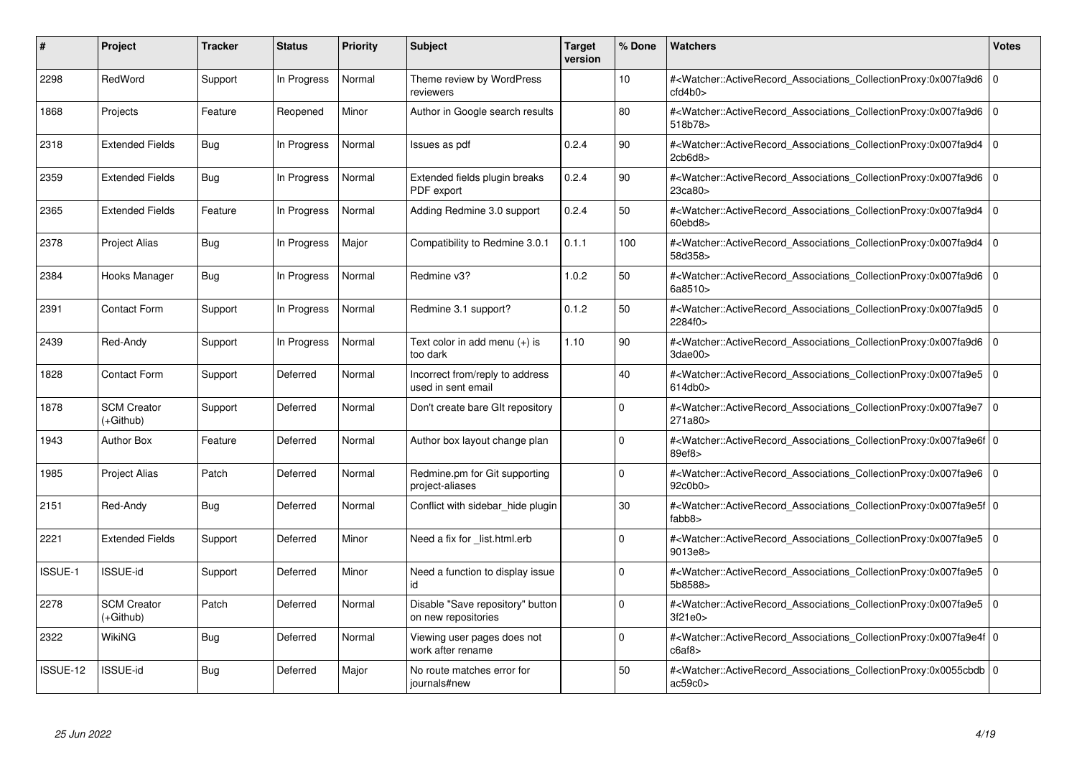| #        | Project                         | <b>Tracker</b> | <b>Status</b> | <b>Priority</b> | <b>Subject</b>                                          | <b>Target</b><br>version | % Done      | <b>Watchers</b>                                                                                                                                          | <b>Votes</b>   |
|----------|---------------------------------|----------------|---------------|-----------------|---------------------------------------------------------|--------------------------|-------------|----------------------------------------------------------------------------------------------------------------------------------------------------------|----------------|
| 2298     | RedWord                         | Support        | In Progress   | Normal          | Theme review by WordPress<br>reviewers                  |                          | 10          | # <watcher::activerecord associations="" collectionproxy:0x007fa9d6<br="">ctd4b0</watcher::activerecord>                                                 | $\Omega$       |
| 1868     | Projects                        | Feature        | Reopened      | Minor           | Author in Google search results                         |                          | 80          | # <watcher::activerecord 0<br="" associations="" collectionproxy:0x007fa9d6=""  ="">518b78&gt;</watcher::activerecord>                                   |                |
| 2318     | <b>Extended Fields</b>          | Bug            | In Progress   | Normal          | Issues as pdf                                           | 0.2.4                    | 90          | # <watcher::activerecord_associations_collectionproxy:0x007fa9d4<br>2cb6d8</watcher::activerecord_associations_collectionproxy:0x007fa9d4<br>            | $\overline{0}$ |
| 2359     | <b>Extended Fields</b>          | Bug            | In Progress   | Normal          | Extended fields plugin breaks<br>PDF export             | 0.2.4                    | 90          | # <watcher::activerecord_associations_collectionproxy:0x007fa9d6 0<br=""  ="">23ca80&gt;</watcher::activerecord_associations_collectionproxy:0x007fa9d6> |                |
| 2365     | <b>Extended Fields</b>          | Feature        | In Progress   | Normal          | Adding Redmine 3.0 support                              | 0.2.4                    | 50          | # <watcher::activerecord_associations_collectionproxy:0x007fa9d4<br>60ebd8&gt;</watcher::activerecord_associations_collectionproxy:0x007fa9d4<br>        | l 0            |
| 2378     | <b>Project Alias</b>            | Bug            | In Progress   | Major           | Compatibility to Redmine 3.0.1                          | 0.1.1                    | 100         | # <watcher::activerecord_associations_collectionproxy:0x007fa9d4 0<br=""  ="">58d358&gt;</watcher::activerecord_associations_collectionproxy:0x007fa9d4> |                |
| 2384     | Hooks Manager                   | Bug            | In Progress   | Normal          | Redmine v3?                                             | 1.0.2                    | 50          | # <watcher::activerecord associations="" collectionproxy:0x007fa9d6<br="">6a8510&gt;</watcher::activerecord>                                             | l 0            |
| 2391     | <b>Contact Form</b>             | Support        | In Progress   | Normal          | Redmine 3.1 support?                                    | 0.1.2                    | 50          | # <watcher::activerecord_associations_collectionproxy:0x007fa9d5 0<br=""  ="">2284f0&gt;</watcher::activerecord_associations_collectionproxy:0x007fa9d5> |                |
| 2439     | Red-Andy                        | Support        | In Progress   | Normal          | Text color in add menu (+) is<br>too dark               | 1.10                     | 90          | # <watcher::activerecord_associations_collectionproxy:0x007fa9d6<br>3dae00&gt;</watcher::activerecord_associations_collectionproxy:0x007fa9d6<br>        | l 0            |
| 1828     | <b>Contact Form</b>             | Support        | Deferred      | Normal          | Incorrect from/reply to address<br>used in sent email   |                          | 40          | # <watcher::activerecord 0<br="" associations="" collectionproxy:0x007fa9e5=""  ="">614db0&gt;</watcher::activerecord>                                   |                |
| 1878     | <b>SCM Creator</b><br>(+Github) | Support        | Deferred      | Normal          | Don't create bare GIt repository                        |                          | $\Omega$    | # <watcher::activerecord_associations_collectionproxy:0x007fa9e7 0<br="">271a80&gt;</watcher::activerecord_associations_collectionproxy:0x007fa9e7>      |                |
| 1943     | <b>Author Box</b>               | Feature        | Deferred      | Normal          | Author box layout change plan                           |                          | $\Omega$    | # <watcher::activerecord_associations_collectionproxy:0x007fa9e6f 0<br="">89ef8</watcher::activerecord_associations_collectionproxy:0x007fa9e6f>         |                |
| 1985     | <b>Project Alias</b>            | Patch          | Deferred      | Normal          | Redmine.pm for Git supporting<br>project-aliases        |                          | $\mathbf 0$ | # <watcher::activerecord 0<br="" associations="" collectionproxy:0x007fa9e6=""  ="">92c0b0&gt;</watcher::activerecord>                                   |                |
| 2151     | Red-Andy                        | Bug            | Deferred      | Normal          | Conflict with sidebar_hide plugin                       |                          | 30          | # <watcher::activerecord_associations_collectionproxy:0x007fa9e5f 0<br="">fabb8&gt;</watcher::activerecord_associations_collectionproxy:0x007fa9e5f>     |                |
| 2221     | <b>Extended Fields</b>          | Support        | Deferred      | Minor           | Need a fix for list.html.erb                            |                          | $\mathbf 0$ | # <watcher::activerecord 0<br="" associations="" collectionproxy:0x007fa9e5=""  ="">9013e8&gt;</watcher::activerecord>                                   |                |
| ISSUE-1  | <b>ISSUE-id</b>                 | Support        | Deferred      | Minor           | Need a function to display issue<br>id                  |                          | $\Omega$    | # <watcher::activerecord_associations_collectionproxy:0x007fa9e5 0<br=""  ="">5b8588&gt;</watcher::activerecord_associations_collectionproxy:0x007fa9e5> |                |
| 2278     | <b>SCM Creator</b><br>(+Github) | Patch          | Deferred      | Normal          | Disable "Save repository" button<br>on new repositories |                          | $\Omega$    | # <watcher::activerecord_associations_collectionproxy:0x007fa9e5 0<br=""  ="">3f21e0&gt;</watcher::activerecord_associations_collectionproxy:0x007fa9e5> |                |
| 2322     | WikiNG                          | Bug            | Deferred      | Normal          | Viewing user pages does not<br>work after rename        |                          | $\mathbf 0$ | # <watcher::activerecord 0<br="" associations="" collectionproxy:0x007fa9e4f=""  ="">c6af8</watcher::activerecord>                                       |                |
| ISSUE-12 | <b>ISSUE-id</b>                 | Bug            | Deferred      | Major           | No route matches error for<br>journals#new              |                          | 50          | # <watcher::activerecord_associations_collectionproxy:0x0055cbdb 0<br=""  ="">ac59c0</watcher::activerecord_associations_collectionproxy:0x0055cbdb>     |                |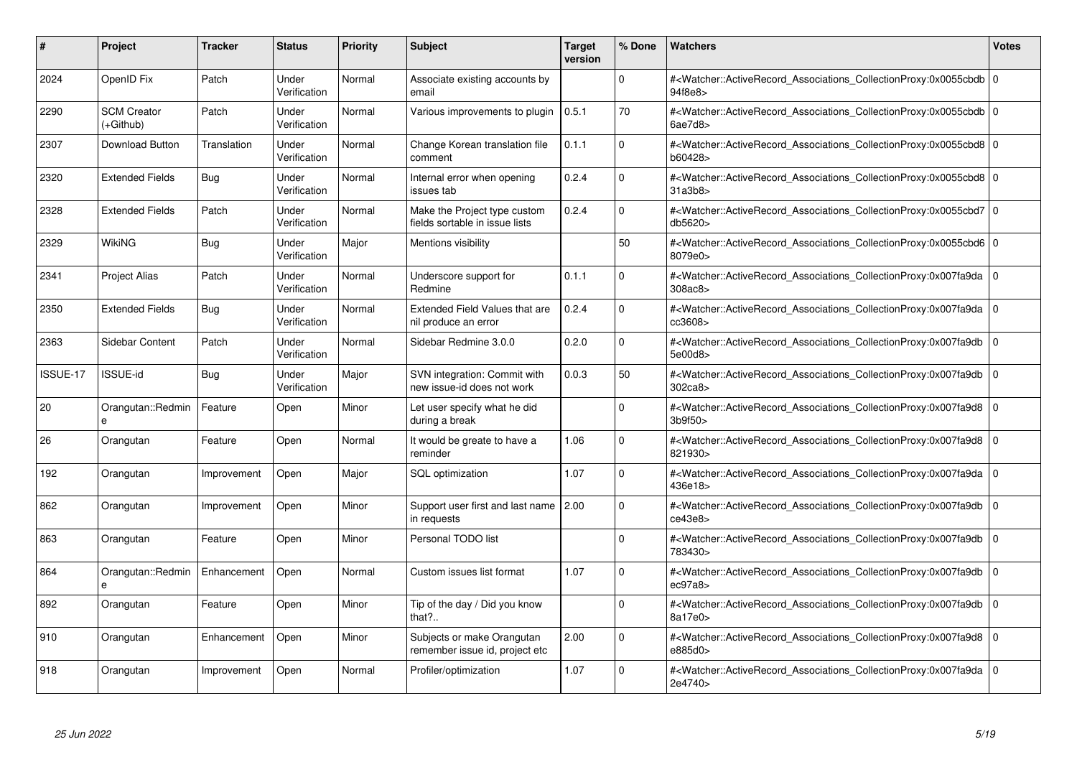| #        | Project                         | <b>Tracker</b> | <b>Status</b>         | <b>Priority</b> | <b>Subject</b>                                                 | <b>Target</b><br>version | % Done   | <b>Watchers</b>                                                                                                                                          | <b>Votes</b> |
|----------|---------------------------------|----------------|-----------------------|-----------------|----------------------------------------------------------------|--------------------------|----------|----------------------------------------------------------------------------------------------------------------------------------------------------------|--------------|
| 2024     | OpenID Fix                      | Patch          | Under<br>Verification | Normal          | Associate existing accounts by<br>email                        |                          | $\Omega$ | # <watcher::activerecord 0<br="" associations="" collectionproxy:0x0055cbdb=""  ="">94f8e8&gt;</watcher::activerecord>                                   |              |
| 2290     | <b>SCM Creator</b><br>(+Github) | Patch          | Under<br>Verification | Normal          | Various improvements to plugin                                 | 0.5.1                    | 70       | # <watcher::activerecord 0<br="" associations="" collectionproxy:0x0055cbdb=""  ="">6ae7d8</watcher::activerecord>                                       |              |
| 2307     | <b>Download Button</b>          | Translation    | Under<br>Verification | Normal          | Change Korean translation file<br>comment                      | 0.1.1                    | $\Omega$ | # <watcher::activerecord_associations_collectionproxy:0x0055cbd8 0<br="">b60428&gt;</watcher::activerecord_associations_collectionproxy:0x0055cbd8>      |              |
| 2320     | <b>Extended Fields</b>          | Bug            | Under<br>Verification | Normal          | Internal error when opening<br>issues tab                      | 0.2.4                    | $\Omega$ | # <watcher::activerecord 0<br="" associations="" collectionproxy:0x0055cbd8=""  ="">31a3b8</watcher::activerecord>                                       |              |
| 2328     | <b>Extended Fields</b>          | Patch          | Under<br>Verification | Normal          | Make the Project type custom<br>fields sortable in issue lists | 0.2.4                    | $\Omega$ | # <watcher::activerecord_associations_collectionproxy:0x0055cbd7 0<br=""  ="">db5620&gt;</watcher::activerecord_associations_collectionproxy:0x0055cbd7> |              |
| 2329     | <b>WikiNG</b>                   | Bug            | Under<br>Verification | Major           | Mentions visibility                                            |                          | 50       | # <watcher::activerecord_associations_collectionproxy:0x0055cbd6 0<br="">8079e0&gt;</watcher::activerecord_associations_collectionproxy:0x0055cbd6>      |              |
| 2341     | <b>Project Alias</b>            | Patch          | Under<br>Verification | Normal          | Underscore support for<br>Redmine                              | 0.1.1                    | $\Omega$ | # <watcher::activerecord 0<br="" associations="" collectionproxy:0x007fa9da=""  ="">308ac8</watcher::activerecord>                                       |              |
| 2350     | <b>Extended Fields</b>          | Bug            | Under<br>Verification | Normal          | Extended Field Values that are<br>nil produce an error         | 0.2.4                    | $\Omega$ | # <watcher::activerecord_associations_collectionproxy:0x007fa9da 0<br=""  ="">cc3608&gt;</watcher::activerecord_associations_collectionproxy:0x007fa9da> |              |
| 2363     | Sidebar Content                 | Patch          | Under<br>Verification | Normal          | Sidebar Redmine 3.0.0                                          | 0.2.0                    | $\Omega$ | # <watcher::activerecord associations="" collectionproxy:0x007fa9db<br="">5e00d8&gt;</watcher::activerecord>                                             | $\Omega$     |
| ISSUE-17 | <b>ISSUE-id</b>                 | Bug            | Under<br>Verification | Major           | SVN integration: Commit with<br>new issue-id does not work     | 0.0.3                    | 50       | # <watcher::activerecord associations="" collectionproxy:0x007fa9db<br="">302ca8&gt;</watcher::activerecord>                                             | $\mathbf 0$  |
| 20       | Orangutan::Redmin<br>e          | Feature        | Open                  | Minor           | Let user specify what he did<br>during a break                 |                          | $\Omega$ | # <watcher::activerecord_associations_collectionproxy:0x007fa9d8 0<br=""  ="">3b9f50</watcher::activerecord_associations_collectionproxy:0x007fa9d8>     |              |
| 26       | Orangutan                       | Feature        | Open                  | Normal          | It would be greate to have a<br>reminder                       | 1.06                     | $\Omega$ | # <watcher::activerecord_associations_collectionproxy:0x007fa9d8 0<br=""  ="">821930&gt;</watcher::activerecord_associations_collectionproxy:0x007fa9d8> |              |
| 192      | Orangutan                       | Improvement    | Open                  | Major           | SQL optimization                                               | 1.07                     | $\Omega$ | # <watcher::activerecord 0<br="" associations="" collectionproxy:0x007fa9da=""  ="">436e18&gt;</watcher::activerecord>                                   |              |
| 862      | Orangutan                       | Improvement    | Open                  | Minor           | Support user first and last name 2.00<br>in requests           |                          | $\Omega$ | # <watcher::activerecord_associations_collectionproxy:0x007fa9db  <br="">ce43e8</watcher::activerecord_associations_collectionproxy:0x007fa9db>          | $\Omega$     |
| 863      | Orangutan                       | Feature        | Open                  | Minor           | Personal TODO list                                             |                          | $\Omega$ | # <watcher::activerecord 0<br="" associations="" collectionproxy:0x007fa9db=""  ="">783430&gt;</watcher::activerecord>                                   |              |
| 864      | Orangutan::Redmin<br>e          | Enhancement    | Open                  | Normal          | Custom issues list format                                      | 1.07                     | $\Omega$ | # <watcher::activerecord_associations_collectionproxy:0x007fa9db  <br="">ec97a8</watcher::activerecord_associations_collectionproxy:0x007fa9db>          | $\mathbf 0$  |
| 892      | Orangutan                       | Feature        | Open                  | Minor           | Tip of the day / Did you know<br>that?                         |                          | $\Omega$ | # <watcher::activerecord_associations_collectionproxy:0x007fa9db  <br="">8a17e0&gt;</watcher::activerecord_associations_collectionproxy:0x007fa9db>      | $\Omega$     |
| 910      | Orangutan                       | Enhancement    | Open                  | Minor           | Subjects or make Orangutan<br>remember issue id, project etc   | 2.00                     | $\Omega$ | # <watcher::activerecord 0<br="" associations="" collectionproxy:0x007fa9d8=""  ="">e885d0&gt;</watcher::activerecord>                                   |              |
| 918      | Orangutan                       | Improvement    | Open                  | Normal          | Profiler/optimization                                          | 1.07                     | $\Omega$ | # <watcher::activerecord_associations_collectionproxy:0x007fa9da 0<br=""  ="">2e4740&gt;</watcher::activerecord_associations_collectionproxy:0x007fa9da> |              |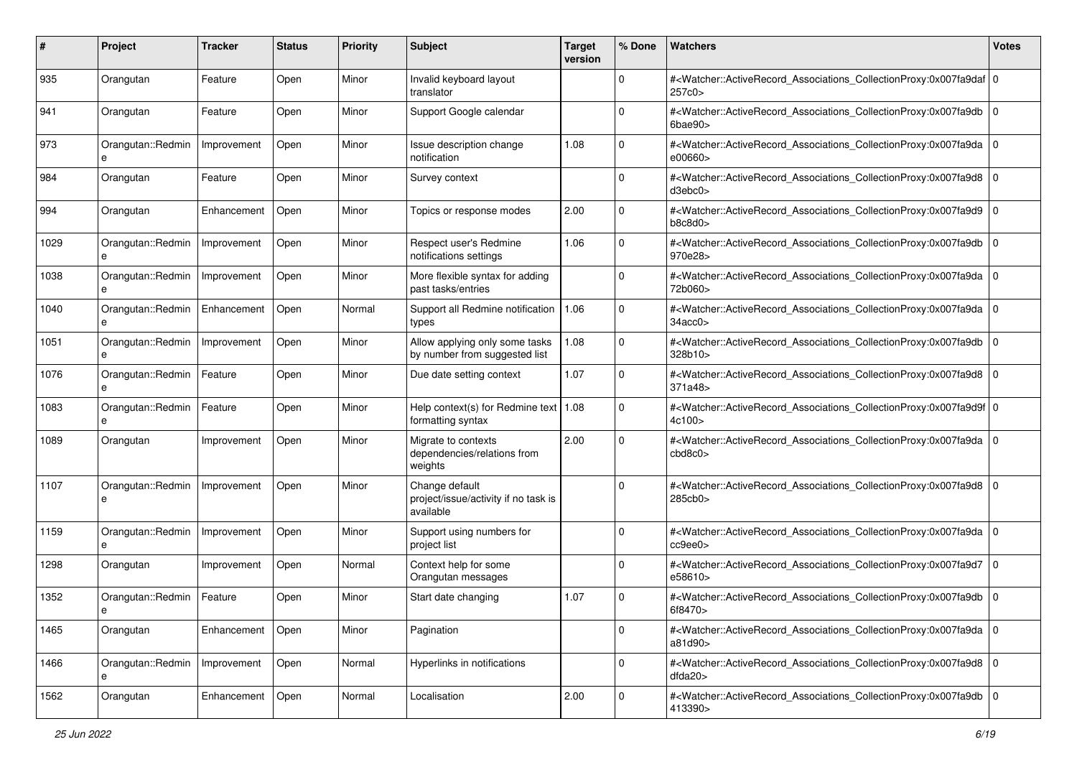| #    | Project                | <b>Tracker</b> | <b>Status</b> | <b>Priority</b> | <b>Subject</b>                                                      | <b>Target</b><br>version | % Done      | Watchers                                                                                                                                                            | <b>Votes</b> |
|------|------------------------|----------------|---------------|-----------------|---------------------------------------------------------------------|--------------------------|-------------|---------------------------------------------------------------------------------------------------------------------------------------------------------------------|--------------|
| 935  | Orangutan              | Feature        | Open          | Minor           | Invalid keyboard layout<br>translator                               |                          | 0           | # <watcher::activerecord_associations_collectionproxy:0x007fa9daf 0<br=""  ="">257c0&gt;</watcher::activerecord_associations_collectionproxy:0x007fa9daf>           |              |
| 941  | Orangutan              | Feature        | Open          | Minor           | Support Google calendar                                             |                          | 0           | # <watcher::activerecord_associations_collectionproxy:0x007fa9db<br>6bae90&gt;</watcher::activerecord_associations_collectionproxy:0x007fa9db<br>                   | l O          |
| 973  | Orangutan::Redmin<br>e | Improvement    | Open          | Minor           | Issue description change<br>notification                            | 1.08                     | 0           | # <watcher::activerecord_associations_collectionproxy:0x007fa9da 0<br=""  ="">e00660&gt;</watcher::activerecord_associations_collectionproxy:0x007fa9da>            |              |
| 984  | Orangutan              | Feature        | Open          | Minor           | Survey context                                                      |                          | $\Omega$    | # <watcher::activerecord_associations_collectionproxy:0x007fa9d8<br>d3ebc0</watcher::activerecord_associations_collectionproxy:0x007fa9d8<br>                       | $\Omega$     |
| 994  | Orangutan              | Enhancement    | Open          | Minor           | Topics or response modes                                            | 2.00                     | 0           | # <watcher::activerecord_associations_collectionproxy:0x007fa9d9 0<br=""  ="">b8c8d0</watcher::activerecord_associations_collectionproxy:0x007fa9d9>                |              |
| 1029 | Orangutan::Redmin      | Improvement    | Open          | Minor           | Respect user's Redmine<br>notifications settings                    | 1.06                     | $\Omega$    | # <watcher::activerecord_associations_collectionproxy:0x007fa9db<br>970e28&gt;</watcher::activerecord_associations_collectionproxy:0x007fa9db<br>                   | $\mathbf 0$  |
| 1038 | Orangutan::Redmin      | Improvement    | Open          | Minor           | More flexible syntax for adding<br>past tasks/entries               |                          | 0           | # <watcher::activerecord_associations_collectionproxy:0x007fa9da 0<br="">72b060&gt;</watcher::activerecord_associations_collectionproxy:0x007fa9da>                 |              |
| 1040 | Orangutan::Redmin<br>e | Enhancement    | Open          | Normal          | Support all Redmine notification<br>types                           | 1.06                     | $\mathbf 0$ | # <watcher::activerecord_associations_collectionproxy:0x007fa9da<br>34acc0</watcher::activerecord_associations_collectionproxy:0x007fa9da<br>                       |              |
| 1051 | Orangutan::Redmin<br>e | Improvement    | Open          | Minor           | Allow applying only some tasks<br>by number from suggested list     | 1.08                     | $\mathbf 0$ | # <watcher::activerecord_associations_collectionproxy:0x007fa9db<br>328b10&gt;</watcher::activerecord_associations_collectionproxy:0x007fa9db<br>                   | l O          |
| 1076 | Orangutan::Redmin<br>e | Feature        | Open          | Minor           | Due date setting context                                            | 1.07                     | 0           | # <watcher::activerecord_associations_collectionproxy:0x007fa9d8 0<br=""  ="">371a48&gt;</watcher::activerecord_associations_collectionproxy:0x007fa9d8>            |              |
| 1083 | Orangutan::Redmin<br>e | Feature        | Open          | Minor           | Help context(s) for Redmine text   1.08<br>formatting syntax        |                          | 0           | # <watcher::activerecord_associations_collectionproxy:0x007fa9d9f 0<br=""  ="">4c100&gt;</watcher::activerecord_associations_collectionproxy:0x007fa9d9f>           |              |
| 1089 | Orangutan              | Improvement    | Open          | Minor           | Migrate to contexts<br>dependencies/relations from<br>weights       | 2.00                     | $\Omega$    | # <watcher::activerecord_associations_collectionproxy:0x007fa9da 0<br=""  ="">cbd8c0<sub>&gt;</sub></watcher::activerecord_associations_collectionproxy:0x007fa9da> |              |
| 1107 | Orangutan::Redmin<br>e | Improvement    | Open          | Minor           | Change default<br>project/issue/activity if no task is<br>available |                          | $\mathbf 0$ | # <watcher::activerecord_associations_collectionproxy:0x007fa9d8 0<br=""  ="">285cb0&gt;</watcher::activerecord_associations_collectionproxy:0x007fa9d8>            |              |
| 1159 | Orangutan::Redmin<br>e | Improvement    | Open          | Minor           | Support using numbers for<br>project list                           |                          | 0           | # <watcher::activerecord_associations_collectionproxy:0x007fa9da 0<br=""  ="">cc9ee0</watcher::activerecord_associations_collectionproxy:0x007fa9da>                |              |
| 1298 | Orangutan              | Improvement    | Open          | Normal          | Context help for some<br>Orangutan messages                         |                          | $\Omega$    | # <watcher::activerecord_associations_collectionproxy:0x007fa9d7<br>e58610&gt;</watcher::activerecord_associations_collectionproxy:0x007fa9d7<br>                   | l O          |
| 1352 | Orangutan::Redmin<br>е | Feature        | Open          | Minor           | Start date changing                                                 | 1.07                     | 0           | # <watcher::activerecord_associations_collectionproxy:0x007fa9db 0<br=""  ="">6f8470&gt;</watcher::activerecord_associations_collectionproxy:0x007fa9db>            |              |
| 1465 | Orangutan              | Enhancement    | Open          | Minor           | Pagination                                                          |                          | 0           | # <watcher::activerecord_associations_collectionproxy:0x007fa9da 0<br=""  ="">a81d90&gt;</watcher::activerecord_associations_collectionproxy:0x007fa9da>            |              |
| 1466 | Orangutan::Redmin<br>e | Improvement    | Open          | Normal          | Hyperlinks in notifications                                         |                          | $\mathbf 0$ | # <watcher::activerecord_associations_collectionproxy:0x007fa9d8 0<br="">dda20</watcher::activerecord_associations_collectionproxy:0x007fa9d8>                      |              |
| 1562 | Orangutan              | Enhancement    | Open          | Normal          | Localisation                                                        | 2.00                     | 0           | # <watcher::activerecord_associations_collectionproxy:0x007fa9db 0<br="">413390&gt;</watcher::activerecord_associations_collectionproxy:0x007fa9db>                 |              |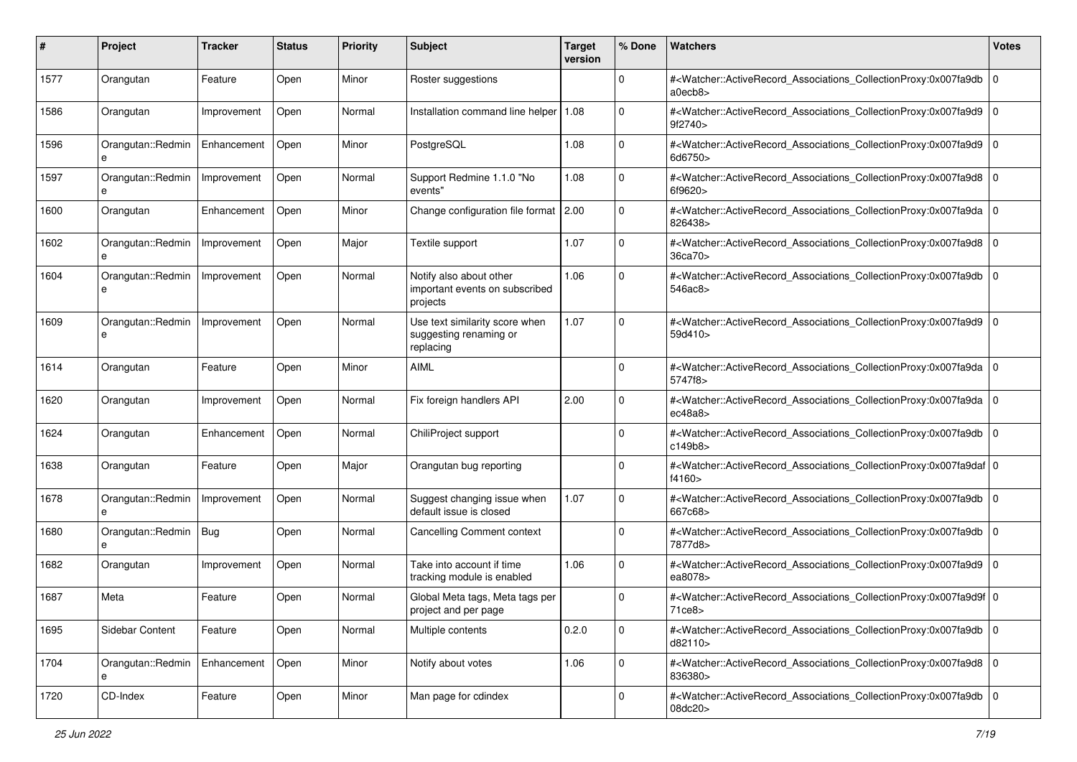| #    | Project                | <b>Tracker</b> | <b>Status</b> | <b>Priority</b> | <b>Subject</b>                                                        | <b>Target</b><br>version | % Done      | Watchers                                                                                                                                                  | <b>Votes</b> |
|------|------------------------|----------------|---------------|-----------------|-----------------------------------------------------------------------|--------------------------|-------------|-----------------------------------------------------------------------------------------------------------------------------------------------------------|--------------|
| 1577 | Orangutan              | Feature        | Open          | Minor           | Roster suggestions                                                    |                          | 0           | # <watcher::activerecord_associations_collectionproxy:0x007fa9db<br>a0ecb8&gt;</watcher::activerecord_associations_collectionproxy:0x007fa9db<br>         | $\mathbf 0$  |
| 1586 | Orangutan              | Improvement    | Open          | Normal          | Installation command line helper   1.08                               |                          | 0           | # <watcher::activerecord_associations_collectionproxy:0x007fa9d9 0<br=""  ="">9f2740&gt;</watcher::activerecord_associations_collectionproxy:0x007fa9d9>  |              |
| 1596 | Orangutan::Redmin<br>e | Enhancement    | Open          | Minor           | PostgreSQL                                                            | 1.08                     | 0           | # <watcher::activerecord_associations_collectionproxy:0x007fa9d9 0<br=""  ="">6d6750&gt;</watcher::activerecord_associations_collectionproxy:0x007fa9d9>  |              |
| 1597 | Orangutan::Redmin<br>e | Improvement    | Open          | Normal          | Support Redmine 1.1.0 "No<br>events"                                  | 1.08                     | $\mathbf 0$ | # <watcher::activerecord_associations_collectionproxy:0x007fa9d8<br>6f9620&gt;</watcher::activerecord_associations_collectionproxy:0x007fa9d8<br>         | $\mathbf 0$  |
| 1600 | Orangutan              | Enhancement    | Open          | Minor           | Change configuration file format 2.00                                 |                          | $\mathbf 0$ | # <watcher::activerecord_associations_collectionproxy:0x007fa9da 0<br=""  ="">826438&gt;</watcher::activerecord_associations_collectionproxy:0x007fa9da>  |              |
| 1602 | Orangutan::Redmin      | Improvement    | Open          | Major           | Textile support                                                       | 1.07                     | $\Omega$    | # <watcher::activerecord_associations_collectionproxy:0x007fa9d8<br>36ca70&gt;</watcher::activerecord_associations_collectionproxy:0x007fa9d8<br>         | l O          |
| 1604 | Orangutan::Redmin<br>e | Improvement    | Open          | Normal          | Notify also about other<br>important events on subscribed<br>projects | 1.06                     | $\mathbf 0$ | # <watcher::activerecord_associations_collectionproxy:0x007fa9db 0<br="">546ac8&gt;</watcher::activerecord_associations_collectionproxy:0x007fa9db>       |              |
| 1609 | Orangutan::Redmin<br>e | Improvement    | Open          | Normal          | Use text similarity score when<br>suggesting renaming or<br>replacing | 1.07                     | $\Omega$    | # <watcher::activerecord_associations_collectionproxy:0x007fa9d9 0<br=""  ="">59d410&gt;</watcher::activerecord_associations_collectionproxy:0x007fa9d9>  |              |
| 1614 | Orangutan              | Feature        | Open          | Minor           | AIML                                                                  |                          | 0           | # <watcher::activerecord_associations_collectionproxy:0x007fa9da 0<br=""  ="">5747f8&gt;</watcher::activerecord_associations_collectionproxy:0x007fa9da>  |              |
| 1620 | Orangutan              | Improvement    | Open          | Normal          | Fix foreign handlers API                                              | 2.00                     | $\mathbf 0$ | # <watcher::activerecord_associations_collectionproxy:0x007fa9da<br>ec48a8</watcher::activerecord_associations_collectionproxy:0x007fa9da<br>             | $\mathbf 0$  |
| 1624 | Orangutan              | Enhancement    | Open          | Normal          | ChiliProject support                                                  |                          | $\mathbf 0$ | # <watcher::activerecord_associations_collectionproxy:0x007fa9db 0<br=""  ="">c149b8&gt;</watcher::activerecord_associations_collectionproxy:0x007fa9db>  |              |
| 1638 | Orangutan              | Feature        | Open          | Major           | Orangutan bug reporting                                               |                          | $\Omega$    | # <watcher::activerecord_associations_collectionproxy:0x007fa9daf 0<br=""  ="">f4160&gt;</watcher::activerecord_associations_collectionproxy:0x007fa9daf> |              |
| 1678 | Orangutan::Redmin<br>e | Improvement    | Open          | Normal          | Suggest changing issue when<br>default issue is closed                | 1.07                     | $\Omega$    | # <watcher::activerecord_associations_collectionproxy:0x007fa9db<br>667c68&gt;</watcher::activerecord_associations_collectionproxy:0x007fa9db<br>         | $\mathbf 0$  |
| 1680 | Orangutan::Redmin<br>e | Bug            | Open          | Normal          | <b>Cancelling Comment context</b>                                     |                          | $\mathbf 0$ | # <watcher::activerecord_associations_collectionproxy:0x007fa9db<br>7877d8&gt;</watcher::activerecord_associations_collectionproxy:0x007fa9db<br>         | $\mathbf 0$  |
| 1682 | Orangutan              | Improvement    | Open          | Normal          | Take into account if time<br>tracking module is enabled               | 1.06                     | 0           | # <watcher::activerecord_associations_collectionproxy:0x007fa9d9 0<br="">ea8078&gt;</watcher::activerecord_associations_collectionproxy:0x007fa9d9>       |              |
| 1687 | Meta                   | Feature        | Open          | Normal          | Global Meta tags, Meta tags per<br>project and per page               |                          | $\Omega$    | # <watcher::activerecord_associations_collectionproxy:0x007fa9d9f 0<br="">71ce8&gt;</watcher::activerecord_associations_collectionproxy:0x007fa9d9f>      |              |
| 1695 | Sidebar Content        | Feature        | Open          | Normal          | Multiple contents                                                     | 0.2.0                    | 0           | # <watcher::activerecord_associations_collectionproxy:0x007fa9db 0<br=""  ="">d82110&gt;</watcher::activerecord_associations_collectionproxy:0x007fa9db>  |              |
| 1704 | Orangutan::Redmin<br>e | Enhancement    | Open          | Minor           | Notify about votes                                                    | 1.06                     | $\mathbf 0$ | # <watcher::activerecord_associations_collectionproxy:0x007fa9d8 0<br="">836380&gt;</watcher::activerecord_associations_collectionproxy:0x007fa9d8>       |              |
| 1720 | CD-Index               | Feature        | Open          | Minor           | Man page for cdindex                                                  |                          | $\mathbf 0$ | # <watcher::activerecord_associations_collectionproxy:0x007fa9db 0<br=""  ="">08dc20&gt;</watcher::activerecord_associations_collectionproxy:0x007fa9db>  |              |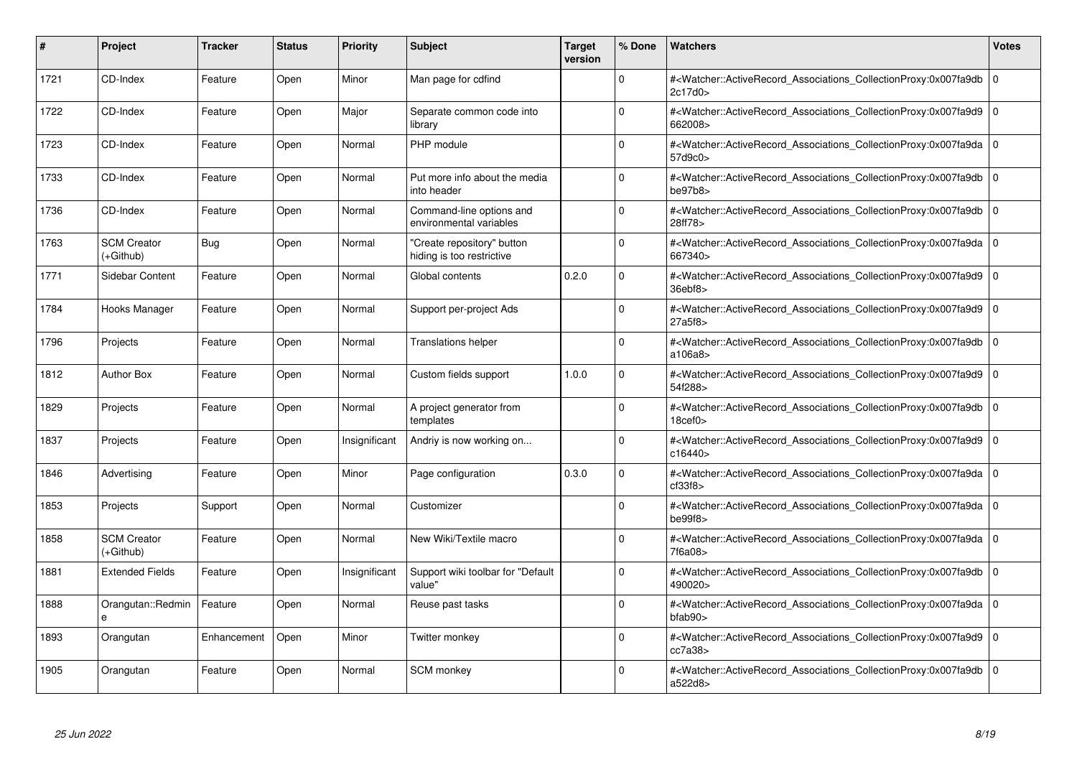| #    | Project                         | <b>Tracker</b> | <b>Status</b> | <b>Priority</b> | <b>Subject</b>                                          | <b>Target</b><br>version | % Done   | <b>Watchers</b>                                                                                                                                                     | <b>Votes</b> |
|------|---------------------------------|----------------|---------------|-----------------|---------------------------------------------------------|--------------------------|----------|---------------------------------------------------------------------------------------------------------------------------------------------------------------------|--------------|
| 1721 | CD-Index                        | Feature        | Open          | Minor           | Man page for cdfind                                     |                          | $\Omega$ | # <watcher::activerecord associations="" collectionproxy:0x007fa9db<br="">2c17d0&gt;</watcher::activerecord>                                                        | $\mathbf 0$  |
| 1722 | CD-Index                        | Feature        | Open          | Major           | Separate common code into<br>library                    |                          | $\Omega$ | # <watcher::activerecord 0<br="" associations="" collectionproxy:0x007fa9d9=""  ="">662008&gt;</watcher::activerecord>                                              |              |
| 1723 | CD-Index                        | Feature        | Open          | Normal          | PHP module                                              |                          | $\Omega$ | # <watcher::activerecord_associations_collectionproxy:0x007fa9da  <br="">57d9c0&gt;</watcher::activerecord_associations_collectionproxy:0x007fa9da>                 | $\Omega$     |
| 1733 | CD-Index                        | Feature        | Open          | Normal          | Put more info about the media<br>into header            |                          | $\Omega$ | # <watcher::activerecord_associations_collectionproxy:0x007fa9db 0<br="">be97b8</watcher::activerecord_associations_collectionproxy:0x007fa9db>                     |              |
| 1736 | CD-Index                        | Feature        | Open          | Normal          | Command-line options and<br>environmental variables     |                          | $\Omega$ | # <watcher::activerecord_associations_collectionproxy:0x007fa9db<br>28ff78&gt;</watcher::activerecord_associations_collectionproxy:0x007fa9db<br>                   | $\mathbf 0$  |
| 1763 | <b>SCM Creator</b><br>(+Github) | <b>Bug</b>     | Open          | Normal          | "Create repository" button<br>hiding is too restrictive |                          | $\Omega$ | # <watcher::activerecord_associations_collectionproxy:0x007fa9da 0<br=""  ="">667340&gt;</watcher::activerecord_associations_collectionproxy:0x007fa9da>            |              |
| 1771 | Sidebar Content                 | Feature        | Open          | Normal          | Global contents                                         | 0.2.0                    | $\Omega$ | # <watcher::activerecord associations="" collectionproxy:0x007fa9d9<br="">36ebf8</watcher::activerecord>                                                            | $\mathbf 0$  |
| 1784 | Hooks Manager                   | Feature        | Open          | Normal          | Support per-project Ads                                 |                          | $\Omega$ | # <watcher::activerecord_associations_collectionproxy:0x007fa9d9  <br="">27a5f8&gt;</watcher::activerecord_associations_collectionproxy:0x007fa9d9>                 | $\mathbf 0$  |
| 1796 | Projects                        | Feature        | Open          | Normal          | <b>Translations helper</b>                              |                          | $\Omega$ | # <watcher::activerecord associations="" collectionproxy:0x007fa9db<br="">a106a8&gt;</watcher::activerecord>                                                        | $\mathbf 0$  |
| 1812 | <b>Author Box</b>               | Feature        | Open          | Normal          | Custom fields support                                   | 1.0.0                    | $\Omega$ | # <watcher::activerecord associations="" collectionproxy:0x007fa9d9<br="">54f288&gt;</watcher::activerecord>                                                        | $\mathbf 0$  |
| 1829 | Projects                        | Feature        | Open          | Normal          | A project generator from<br>templates                   |                          | $\Omega$ | # <watcher::activerecord_associations_collectionproxy:0x007fa9db<br>18<sub>cef0</sub></watcher::activerecord_associations_collectionproxy:0x007fa9db<br>            | $\Omega$     |
| 1837 | Projects                        | Feature        | Open          | Insignificant   | Andriy is now working on                                |                          | $\Omega$ | # <watcher::activerecord associations="" collectionproxy:0x007fa9d9=""  <br="">c16440&gt;</watcher::activerecord>                                                   | $\mathbf 0$  |
| 1846 | Advertising                     | Feature        | Open          | Minor           | Page configuration                                      | 0.3.0                    | $\Omega$ | # <watcher::activerecord 0<br="" associations="" collectionproxy:0x007fa9da=""  ="">cf33f8</watcher::activerecord>                                                  |              |
| 1853 | Projects                        | Support        | Open          | Normal          | Customizer                                              |                          | $\Omega$ | # <watcher::activerecord_associations_collectionproxy:0x007fa9da 0<br=""  ="">be99f8</watcher::activerecord_associations_collectionproxy:0x007fa9da>                |              |
| 1858 | <b>SCM Creator</b><br>(+Github) | Feature        | Open          | Normal          | New Wiki/Textile macro                                  |                          | $\Omega$ | # <watcher::activerecord 0<br="" associations="" collectionproxy:0x007fa9da=""  ="">7f6a08&gt;</watcher::activerecord>                                              |              |
| 1881 | <b>Extended Fields</b>          | Feature        | Open          | Insignificant   | Support wiki toolbar for "Default<br>value"             |                          | $\Omega$ | # <watcher::activerecord_associations_collectionproxy:0x007fa9db  <br="">490020&gt;</watcher::activerecord_associations_collectionproxy:0x007fa9db>                 | $\mathbf 0$  |
| 1888 | Orangutan::Redmin<br>e          | Feature        | Open          | Normal          | Reuse past tasks                                        |                          | $\Omega$ | # <watcher::activerecord_associations_collectionproxy:0x007fa9da 0<br=""  ="">bfab90<sub>&gt;</sub></watcher::activerecord_associations_collectionproxy:0x007fa9da> |              |
| 1893 | Orangutan                       | Enhancement    | Open          | Minor           | Twitter monkey                                          |                          | $\Omega$ | # <watcher::activerecord associations="" collectionproxy:0x007fa9d9<br="">cc7a38</watcher::activerecord>                                                            | $\mathbf 0$  |
| 1905 | Orangutan                       | Feature        | Open          | Normal          | SCM monkey                                              |                          | $\Omega$ | # <watcher::activerecord_associations_collectionproxy:0x007fa9db 0<br=""  ="">a522d8&gt;</watcher::activerecord_associations_collectionproxy:0x007fa9db>            |              |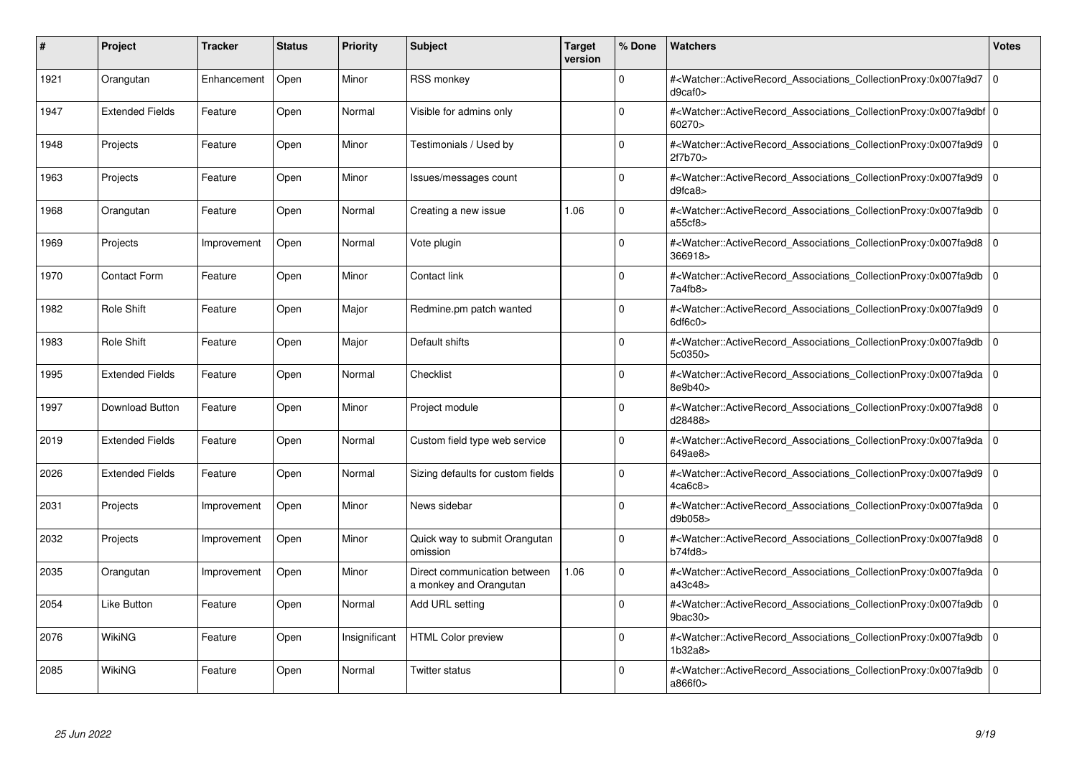| #    | Project                | <b>Tracker</b> | <b>Status</b> | <b>Priority</b> | <b>Subject</b>                                         | <b>Target</b><br>version | % Done      | <b>Watchers</b>                                                                                                                                           | <b>Votes</b> |
|------|------------------------|----------------|---------------|-----------------|--------------------------------------------------------|--------------------------|-------------|-----------------------------------------------------------------------------------------------------------------------------------------------------------|--------------|
| 1921 | Orangutan              | Enhancement    | Open          | Minor           | <b>RSS monkey</b>                                      |                          | $\Omega$    | # <watcher::activerecord associations="" collectionproxy:0x007fa9d7<br="">d9caf0</watcher::activerecord>                                                  | $\mathbf 0$  |
| 1947 | <b>Extended Fields</b> | Feature        | Open          | Normal          | Visible for admins only                                |                          | $\Omega$    | # <watcher::activerecord_associations_collectionproxy:0x007fa9dbf 0<br=""  ="">60270&gt;</watcher::activerecord_associations_collectionproxy:0x007fa9dbf> |              |
| 1948 | Projects               | Feature        | Open          | Minor           | Testimonials / Used by                                 |                          | $\Omega$    | # <watcher::activerecord associations="" collectionproxy:0x007fa9d9<br="">2f7b70&gt;</watcher::activerecord>                                              | $\mathbf 0$  |
| 1963 | Projects               | Feature        | Open          | Minor           | lssues/messages count                                  |                          | $\Omega$    | # <watcher::activerecord 0<br="" associations="" collectionproxy:0x007fa9d9=""  ="">d9fca8</watcher::activerecord>                                        |              |
| 1968 | Orangutan              | Feature        | Open          | Normal          | Creating a new issue                                   | 1.06                     | $\Omega$    | # <watcher::activerecord_associations_collectionproxy:0x007fa9db<br>a55cf8</watcher::activerecord_associations_collectionproxy:0x007fa9db<br>             | $\mathbf 0$  |
| 1969 | Projects               | Improvement    | Open          | Normal          | Vote plugin                                            |                          | $\Omega$    | # <watcher::activerecord associations="" collectionproxy:0x007fa9d8<br="">366918&gt;</watcher::activerecord>                                              | $\Omega$     |
| 1970 | <b>Contact Form</b>    | Feature        | Open          | Minor           | Contact link                                           |                          | $\Omega$    | # <watcher::activerecord_associations_collectionproxy:0x007fa9db  <br="">7a4fb8</watcher::activerecord_associations_collectionproxy:0x007fa9db>           | $\Omega$     |
| 1982 | Role Shift             | Feature        | Open          | Major           | Redmine.pm patch wanted                                |                          | $\Omega$    | # <watcher::activerecord associations="" collectionproxy:0x007fa9d9=""  <br="">6df6c0</watcher::activerecord>                                             | $\mathbf 0$  |
| 1983 | Role Shift             | Feature        | Open          | Major           | Default shifts                                         |                          | $\Omega$    | # <watcher::activerecord_associations_collectionproxy:0x007fa9db<br>5c0350&gt;</watcher::activerecord_associations_collectionproxy:0x007fa9db<br>         | $\mathbf 0$  |
| 1995 | <b>Extended Fields</b> | Feature        | Open          | Normal          | Checklist                                              |                          | $\Omega$    | # <watcher::activerecord_associations_collectionproxy:0x007fa9da 0<br=""  ="">8e9b40&gt;</watcher::activerecord_associations_collectionproxy:0x007fa9da>  |              |
| 1997 | Download Button        | Feature        | Open          | Minor           | Project module                                         |                          | $\Omega$    | # <watcher::activerecord 0<br="" associations="" collectionproxy:0x007fa9d8=""  ="">d28488&gt;</watcher::activerecord>                                    |              |
| 2019 | <b>Extended Fields</b> | Feature        | Open          | Normal          | Custom field type web service                          |                          | $\Omega$    | # <watcher::activerecord_associations_collectionproxy:0x007fa9da 0<br=""  ="">649ae8&gt;</watcher::activerecord_associations_collectionproxy:0x007fa9da>  |              |
| 2026 | <b>Extended Fields</b> | Feature        | Open          | Normal          | Sizing defaults for custom fields                      |                          | $\Omega$    | # <watcher::activerecord associations="" collectionproxy:0x007fa9d9<br="">4ca6c8</watcher::activerecord>                                                  | $\mathbf 0$  |
| 2031 | Projects               | Improvement    | Open          | Minor           | News sidebar                                           |                          | $\mathbf 0$ | # <watcher::activerecord_associations_collectionproxy:0x007fa9da 0<br=""  ="">d9b058&gt;</watcher::activerecord_associations_collectionproxy:0x007fa9da>  |              |
| 2032 | Projects               | Improvement    | Open          | Minor           | Quick way to submit Orangutan<br>omission              |                          | $\Omega$    | # <watcher::activerecord_associations_collectionproxy:0x007fa9d8 0<br=""  ="">b74fd8</watcher::activerecord_associations_collectionproxy:0x007fa9d8>      |              |
| 2035 | Orangutan              | Improvement    | Open          | Minor           | Direct communication between<br>a monkey and Orangutan | 1.06                     | $\Omega$    | # <watcher::activerecord 0<br="" associations="" collectionproxy:0x007fa9da=""  ="">a43c48&gt;</watcher::activerecord>                                    |              |
| 2054 | <b>Like Button</b>     | Feature        | Open          | Normal          | Add URL setting                                        |                          | $\Omega$    | # <watcher::activerecord associations="" collectionproxy:0x007fa9db<br="">9bac30</watcher::activerecord>                                                  | $\Omega$     |
| 2076 | WikiNG                 | Feature        | Open          | Insignificant   | <b>HTML Color preview</b>                              |                          | $\Omega$    | # <watcher::activerecord associations="" collectionproxy:0x007fa9db=""  <br="">1b32a8&gt;</watcher::activerecord>                                         | $\mathbf 0$  |
| 2085 | WikiNG                 | Feature        | Open          | Normal          | Twitter status                                         |                          | $\Omega$    | # <watcher::activerecord_associations_collectionproxy:0x007fa9db 0<br=""  ="">a866f0</watcher::activerecord_associations_collectionproxy:0x007fa9db>      |              |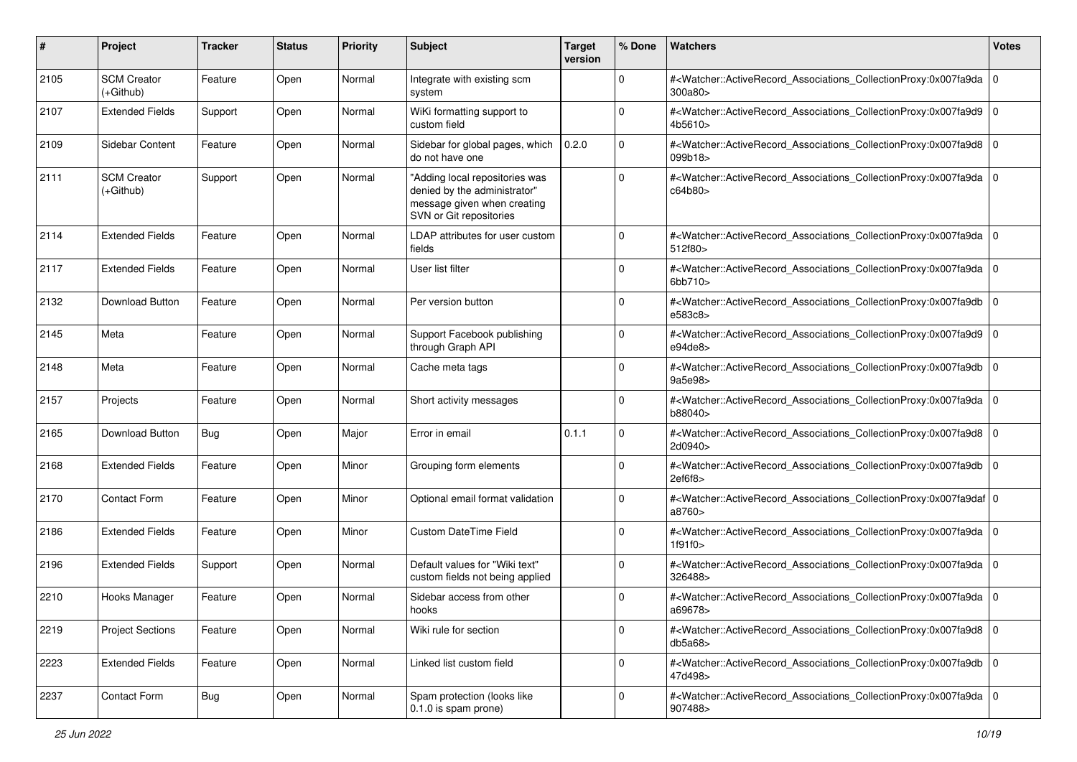| #    | Project                           | <b>Tracker</b> | <b>Status</b> | <b>Priority</b> | <b>Subject</b>                                                                                                           | <b>Target</b><br>version | % Done      | Watchers                                                                                                                                                  | <b>Votes</b> |
|------|-----------------------------------|----------------|---------------|-----------------|--------------------------------------------------------------------------------------------------------------------------|--------------------------|-------------|-----------------------------------------------------------------------------------------------------------------------------------------------------------|--------------|
| 2105 | <b>SCM Creator</b><br>$(+Github)$ | Feature        | Open          | Normal          | Integrate with existing scm<br>system                                                                                    |                          | 0           | # <watcher::activerecord_associations_collectionproxy:0x007fa9da 0<br=""  ="">300a80</watcher::activerecord_associations_collectionproxy:0x007fa9da>      |              |
| 2107 | <b>Extended Fields</b>            | Support        | Open          | Normal          | WiKi formatting support to<br>custom field                                                                               |                          | $\Omega$    | # <watcher::activerecord_associations_collectionproxy:0x007fa9d9 0<br=""  ="">4b5610&gt;</watcher::activerecord_associations_collectionproxy:0x007fa9d9>  |              |
| 2109 | Sidebar Content                   | Feature        | Open          | Normal          | Sidebar for global pages, which<br>do not have one                                                                       | 0.2.0                    | $\Omega$    | # <watcher::activerecord_associations_collectionproxy:0x007fa9d8 0<br=""  ="">099b18&gt;</watcher::activerecord_associations_collectionproxy:0x007fa9d8>  |              |
| 2111 | <b>SCM Creator</b><br>(+Github)   | Support        | Open          | Normal          | "Adding local repositories was<br>denied by the administrator"<br>message given when creating<br>SVN or Git repositories |                          | $\Omega$    | # <watcher::activerecord_associations_collectionproxy:0x007fa9da 0<br="">c64b80&gt;</watcher::activerecord_associations_collectionproxy:0x007fa9da>       |              |
| 2114 | <b>Extended Fields</b>            | Feature        | Open          | Normal          | LDAP attributes for user custom<br>fields                                                                                |                          | $\Omega$    | # <watcher::activerecord_associations_collectionproxy:0x007fa9da 0<br=""  ="">512f80&gt;</watcher::activerecord_associations_collectionproxy:0x007fa9da>  |              |
| 2117 | <b>Extended Fields</b>            | Feature        | Open          | Normal          | User list filter                                                                                                         |                          | 0           | # <watcher::activerecord_associations_collectionproxy:0x007fa9da 0<br=""  ="">6bb710&gt;</watcher::activerecord_associations_collectionproxy:0x007fa9da>  |              |
| 2132 | <b>Download Button</b>            | Feature        | Open          | Normal          | Per version button                                                                                                       |                          | $\Omega$    | # <watcher::activerecord_associations_collectionproxy:0x007fa9db 0<br=""  ="">e583c8&gt;</watcher::activerecord_associations_collectionproxy:0x007fa9db>  |              |
| 2145 | Meta                              | Feature        | Open          | Normal          | Support Facebook publishing<br>through Graph API                                                                         |                          | $\Omega$    | # <watcher::activerecord_associations_collectionproxy:0x007fa9d9 0<br=""  ="">e94de8</watcher::activerecord_associations_collectionproxy:0x007fa9d9>      |              |
| 2148 | Meta                              | Feature        | Open          | Normal          | Cache meta tags                                                                                                          |                          | $\Omega$    | # <watcher::activerecord_associations_collectionproxy:0x007fa9db 0<br="">9a5e98&gt;</watcher::activerecord_associations_collectionproxy:0x007fa9db>       |              |
| 2157 | Projects                          | Feature        | Open          | Normal          | Short activity messages                                                                                                  |                          | $\Omega$    | # <watcher::activerecord_associations_collectionproxy:0x007fa9da 0<br="">b88040&gt;</watcher::activerecord_associations_collectionproxy:0x007fa9da>       |              |
| 2165 | Download Button                   | <b>Bug</b>     | Open          | Major           | Error in email                                                                                                           | 0.1.1                    | $\Omega$    | # <watcher::activerecord_associations_collectionproxy:0x007fa9d8 0<br=""  ="">2d0940&gt;</watcher::activerecord_associations_collectionproxy:0x007fa9d8>  |              |
| 2168 | <b>Extended Fields</b>            | Feature        | Open          | Minor           | Grouping form elements                                                                                                   |                          | $\Omega$    | # <watcher::activerecord_associations_collectionproxy:0x007fa9db 0<br=""  ="">2ef6f8&gt;</watcher::activerecord_associations_collectionproxy:0x007fa9db>  |              |
| 2170 | <b>Contact Form</b>               | Feature        | Open          | Minor           | Optional email format validation                                                                                         |                          | $\Omega$    | # <watcher::activerecord_associations_collectionproxy:0x007fa9daf 0<br=""  ="">a8760&gt;</watcher::activerecord_associations_collectionproxy:0x007fa9daf> |              |
| 2186 | <b>Extended Fields</b>            | Feature        | Open          | Minor           | <b>Custom DateTime Field</b>                                                                                             |                          | $\Omega$    | # <watcher::activerecord_associations_collectionproxy:0x007fa9da 0<br=""  ="">1f91f0</watcher::activerecord_associations_collectionproxy:0x007fa9da>      |              |
| 2196 | <b>Extended Fields</b>            | Support        | Open          | Normal          | Default values for "Wiki text"<br>custom fields not being applied                                                        |                          | $\Omega$    | # <watcher::activerecord_associations_collectionproxy:0x007fa9da 0<br="">326488&gt;</watcher::activerecord_associations_collectionproxy:0x007fa9da>       |              |
| 2210 | Hooks Manager                     | Feature        | Open          | Normal          | Sidebar access from other<br>hooks                                                                                       |                          | $\Omega$    | # <watcher::activerecord_associations_collectionproxy:0x007fa9da 0<br="">a69678&gt;</watcher::activerecord_associations_collectionproxy:0x007fa9da>       |              |
| 2219 | <b>Project Sections</b>           | Feature        | Open          | Normal          | Wiki rule for section                                                                                                    |                          | $\mathbf 0$ | # <watcher::activerecord_associations_collectionproxy:0x007fa9d8 0<br=""  ="">db5a68</watcher::activerecord_associations_collectionproxy:0x007fa9d8>      |              |
| 2223 | <b>Extended Fields</b>            | Feature        | Open          | Normal          | Linked list custom field                                                                                                 |                          | $\Omega$    | # <watcher::activerecord 0<br="" associations="" collectionproxy:0x007fa9db="">47d498&gt;</watcher::activerecord>                                         |              |
| 2237 | Contact Form                      | <b>Bug</b>     | Open          | Normal          | Spam protection (looks like<br>0.1.0 is spam prone)                                                                      |                          | $\Omega$    | # <watcher::activerecord_associations_collectionproxy:0x007fa9da 0<br=""  ="">907488&gt;</watcher::activerecord_associations_collectionproxy:0x007fa9da>  |              |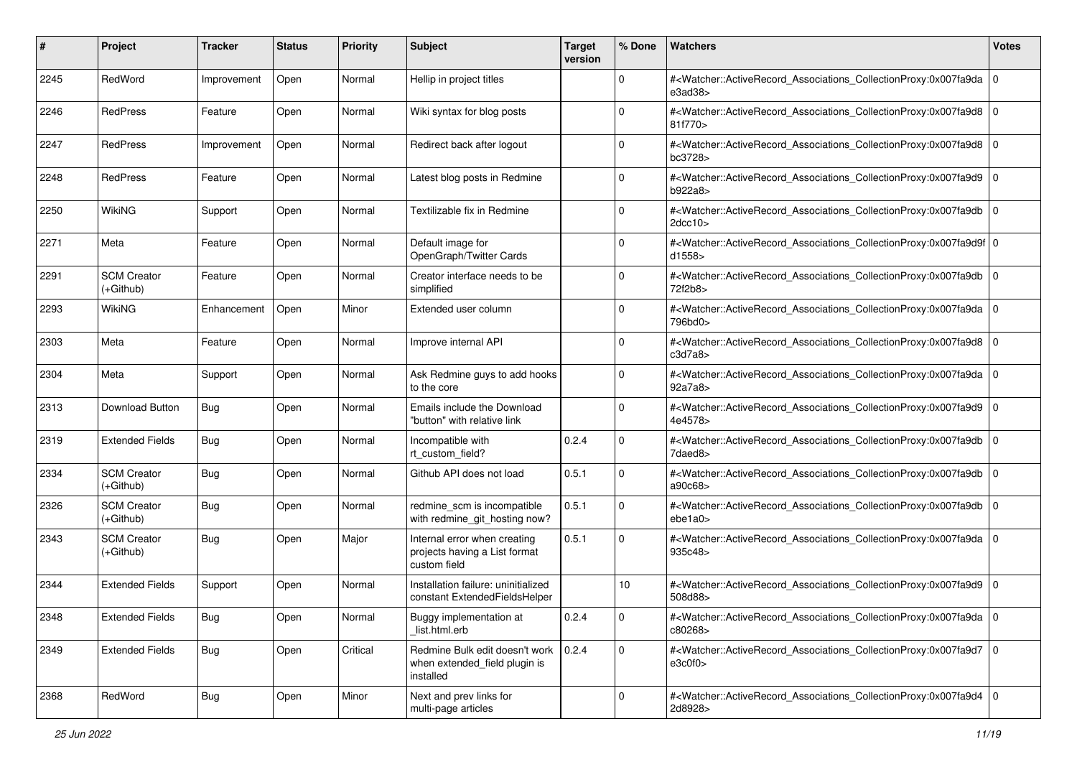| #    | Project                           | <b>Tracker</b> | <b>Status</b> | <b>Priority</b> | <b>Subject</b>                                                                       | <b>Target</b><br>version | % Done      | Watchers                                                                                                                                                 | <b>Votes</b>   |
|------|-----------------------------------|----------------|---------------|-----------------|--------------------------------------------------------------------------------------|--------------------------|-------------|----------------------------------------------------------------------------------------------------------------------------------------------------------|----------------|
| 2245 | RedWord                           | Improvement    | Open          | Normal          | Hellip in project titles                                                             |                          | $\mathbf 0$ | # <watcher::activerecord_associations_collectionproxy:0x007fa9da<br>e3ad38</watcher::activerecord_associations_collectionproxy:0x007fa9da<br>            | l 0            |
| 2246 | RedPress                          | Feature        | Open          | Normal          | Wiki syntax for blog posts                                                           |                          | $\Omega$    | # <watcher::activerecord_associations_collectionproxy:0x007fa9d8 0<br=""  ="">81f770&gt;</watcher::activerecord_associations_collectionproxy:0x007fa9d8> |                |
| 2247 | RedPress                          | Improvement    | Open          | Normal          | Redirect back after logout                                                           |                          | $\Omega$    | # <watcher::activerecord_associations_collectionproxy:0x007fa9d8 0<br=""  ="">bc3728&gt;</watcher::activerecord_associations_collectionproxy:0x007fa9d8> |                |
| 2248 | <b>RedPress</b>                   | Feature        | Open          | Normal          | Latest blog posts in Redmine                                                         |                          | $\Omega$    | # <watcher::activerecord_associations_collectionproxy:0x007fa9d9<br>b922a8&gt;</watcher::activerecord_associations_collectionproxy:0x007fa9d9<br>        | ۱٥             |
| 2250 | WikiNG                            | Support        | Open          | Normal          | Textilizable fix in Redmine                                                          |                          | $\Omega$    | # <watcher::activerecord_associations_collectionproxy:0x007fa9db<br>2dcc10&gt;</watcher::activerecord_associations_collectionproxy:0x007fa9db<br>        | l O            |
| 2271 | Meta                              | Feature        | Open          | Normal          | Default image for<br>OpenGraph/Twitter Cards                                         |                          | $\Omega$    | # <watcher::activerecord_associations_collectionproxy:0x007fa9d9f 0<br="">d1558</watcher::activerecord_associations_collectionproxy:0x007fa9d9f>         |                |
| 2291 | <b>SCM Creator</b><br>$(+Github)$ | Feature        | Open          | Normal          | Creator interface needs to be<br>simplified                                          |                          | $\Omega$    | # <watcher::activerecord_associations_collectionproxy:0x007fa9db<br>72f2b8&gt;</watcher::activerecord_associations_collectionproxy:0x007fa9db<br>        | l O            |
| 2293 | <b>WikiNG</b>                     | Enhancement    | Open          | Minor           | Extended user column                                                                 |                          | $\mathbf 0$ | # <watcher::activerecord_associations_collectionproxy:0x007fa9da 0<br=""  ="">796bd0&gt;</watcher::activerecord_associations_collectionproxy:0x007fa9da> |                |
| 2303 | Meta                              | Feature        | Open          | Normal          | Improve internal API                                                                 |                          | $\Omega$    | # <watcher::activerecord_associations_collectionproxy:0x007fa9d8<br>c3d7a8</watcher::activerecord_associations_collectionproxy:0x007fa9d8<br>            | l 0            |
| 2304 | Meta                              | Support        | Open          | Normal          | Ask Redmine guys to add hooks<br>to the core                                         |                          | 0           | # <watcher::activerecord 0<br="" associations="" collectionproxy:0x007fa9da="">92a7a8&gt;</watcher::activerecord>                                        |                |
| 2313 | Download Button                   | <b>Bug</b>     | Open          | Normal          | Emails include the Download<br>"button" with relative link                           |                          | $\mathbf 0$ | # <watcher::activerecord_associations_collectionproxy:0x007fa9d9<br>4e4578&gt;</watcher::activerecord_associations_collectionproxy:0x007fa9d9<br>        | $\overline{0}$ |
| 2319 | <b>Extended Fields</b>            | <b>Bug</b>     | Open          | Normal          | Incompatible with<br>rt custom field?                                                | 0.2.4                    | $\Omega$    | # <watcher::activerecord_associations_collectionproxy:0x007fa9db<br>7daed8&gt;</watcher::activerecord_associations_collectionproxy:0x007fa9db<br>        | l 0            |
| 2334 | <b>SCM Creator</b><br>(+Github)   | <b>Bug</b>     | Open          | Normal          | Github API does not load                                                             | 0.5.1                    | $\Omega$    | # <watcher::activerecord_associations_collectionproxy:0x007fa9db<br>a90c68&gt;</watcher::activerecord_associations_collectionproxy:0x007fa9db<br>        | l 0            |
| 2326 | <b>SCM Creator</b><br>$(+Github)$ | <b>Bug</b>     | Open          | Normal          | redmine_scm is incompatible<br>with redmine_git_hosting now?                         | 0.5.1                    | $\Omega$    | # <watcher::activerecord_associations_collectionproxy:0x007fa9db<br>ebe1a0&gt;</watcher::activerecord_associations_collectionproxy:0x007fa9db<br>        | l 0            |
| 2343 | <b>SCM Creator</b><br>(+Github)   | <b>Bug</b>     | Open          | Major           | Internal error when creating<br>projects having a List format<br>custom field        | 0.5.1                    | $\Omega$    | # <watcher::activerecord_associations_collectionproxy:0x007fa9da<br>935c48&gt;</watcher::activerecord_associations_collectionproxy:0x007fa9da<br>        | l O            |
| 2344 | <b>Extended Fields</b>            | Support        | Open          | Normal          | Installation failure: uninitialized<br>constant ExtendedFieldsHelper                 |                          | 10          | # <watcher::activerecord_associations_collectionproxy:0x007fa9d9<br>508d88&gt;</watcher::activerecord_associations_collectionproxy:0x007fa9d9<br>        | l O            |
| 2348 | <b>Extended Fields</b>            | I Bug          | Open          | Normal          | Buggy implementation at<br>list.html.erb                                             | 0.2.4                    | 0           | # <watcher::activerecord_associations_collectionproxy:0x007fa9da 0<br=""  ="">c80268&gt;</watcher::activerecord_associations_collectionproxy:0x007fa9da> |                |
| 2349 | <b>Extended Fields</b>            | Bug            | Open          | Critical        | Redmine Bulk edit doesn't work   0.2.4<br>when extended_field plugin is<br>installed |                          | $\mathbf 0$ | # <watcher::activerecord_associations_collectionproxy:0x007fa9d7 0<br="">e3c0f0&gt;</watcher::activerecord_associations_collectionproxy:0x007fa9d7>      |                |
| 2368 | RedWord                           | Bug            | Open          | Minor           | Next and prev links for<br>multi-page articles                                       |                          | $\mathbf 0$ | # <watcher::activerecord_associations_collectionproxy:0x007fa9d4 0<br="">2d8928&gt;</watcher::activerecord_associations_collectionproxy:0x007fa9d4>      |                |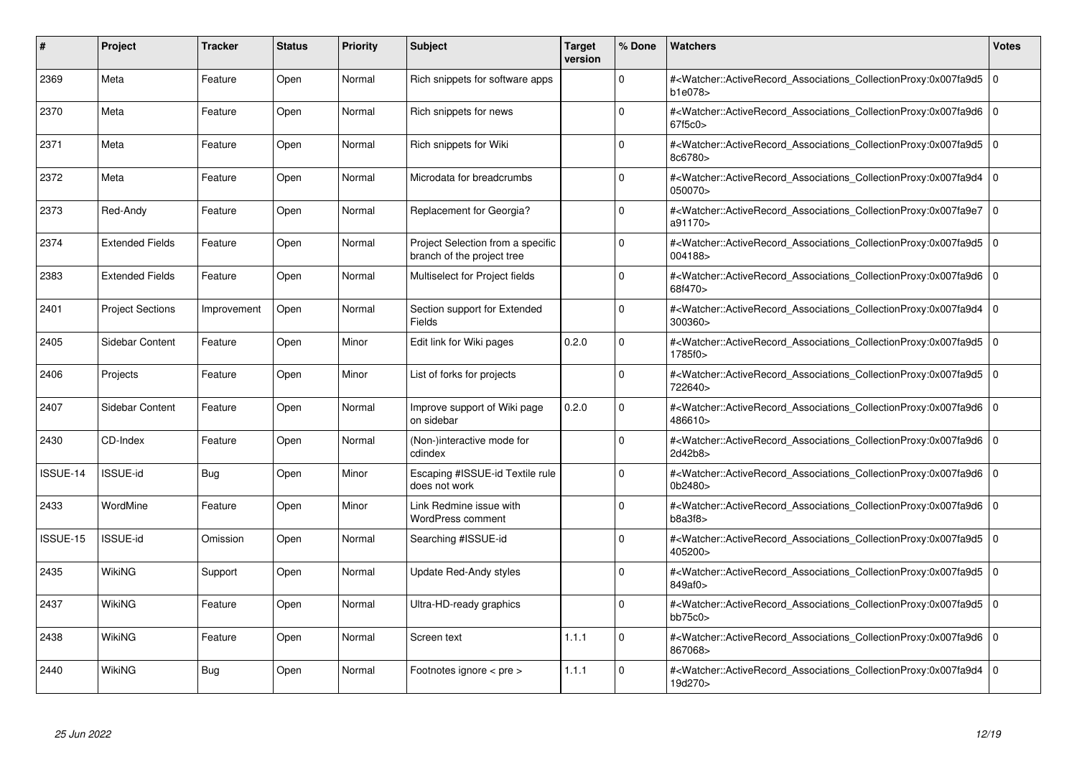| #        | Project                 | <b>Tracker</b> | <b>Status</b> | <b>Priority</b> | <b>Subject</b>                                                  | <b>Target</b><br>version | % Done      | <b>Watchers</b>                                                                                                                                     | <b>Votes</b>   |
|----------|-------------------------|----------------|---------------|-----------------|-----------------------------------------------------------------|--------------------------|-------------|-----------------------------------------------------------------------------------------------------------------------------------------------------|----------------|
| 2369     | Meta                    | Feature        | Open          | Normal          | Rich snippets for software apps                                 |                          | $\Omega$    | # <watcher::activerecord_associations_collectionproxy:0x007fa9d5<br>b1e078&gt;</watcher::activerecord_associations_collectionproxy:0x007fa9d5<br>   | 0              |
| 2370     | Meta                    | Feature        | Open          | Normal          | Rich snippets for news                                          |                          | $\Omega$    | # <watcher::activerecord associations="" collectionproxy:0x007fa9d6<br="">67f5c0&gt;</watcher::activerecord>                                        | l O            |
| 2371     | Meta                    | Feature        | Open          | Normal          | Rich snippets for Wiki                                          |                          | $\Omega$    | # <watcher::activerecord_associations_collectionproxy:0x007fa9d5<br>8c6780&gt;</watcher::activerecord_associations_collectionproxy:0x007fa9d5<br>   | 0              |
| 2372     | Meta                    | Feature        | Open          | Normal          | Microdata for breadcrumbs                                       |                          | $\Omega$    | # <watcher::activerecord_associations_collectionproxy:0x007fa9d4<br>050070&gt;</watcher::activerecord_associations_collectionproxy:0x007fa9d4<br>   | l O            |
| 2373     | Red-Andy                | Feature        | Open          | Normal          | Replacement for Georgia?                                        |                          | $\Omega$    | # <watcher::activerecord associations="" collectionproxy:0x007fa9e7<br="">a91170&gt;</watcher::activerecord>                                        | l o            |
| 2374     | <b>Extended Fields</b>  | Feature        | Open          | Normal          | Project Selection from a specific<br>branch of the project tree |                          | $\Omega$    | # <watcher::activerecord associations="" collectionproxy:0x007fa9d5<br="">004188&gt;</watcher::activerecord>                                        | l O            |
| 2383     | <b>Extended Fields</b>  | Feature        | Open          | Normal          | Multiselect for Project fields                                  |                          | $\mathbf 0$ | # <watcher::activerecord_associations_collectionproxy:0x007fa9d6<br>68f470&gt;</watcher::activerecord_associations_collectionproxy:0x007fa9d6<br>   | l o            |
| 2401     | <b>Project Sections</b> | Improvement    | Open          | Normal          | Section support for Extended<br>Fields                          |                          | $\Omega$    | # <watcher::activerecord associations="" collectionproxy:0x007fa9d4<br="">300360&gt;</watcher::activerecord>                                        | $\overline{0}$ |
| 2405     | Sidebar Content         | Feature        | Open          | Minor           | Edit link for Wiki pages                                        | 0.2.0                    | $\Omega$    | # <watcher::activerecord associations="" collectionproxy:0x007fa9d5<br="">1785f0&gt;</watcher::activerecord>                                        | l O            |
| 2406     | Projects                | Feature        | Open          | Minor           | List of forks for projects                                      |                          | $\mathbf 0$ | # <watcher::activerecord associations="" collectionproxy:0x007fa9d5<br="">722640&gt;</watcher::activerecord>                                        | 10             |
| 2407     | <b>Sidebar Content</b>  | Feature        | Open          | Normal          | Improve support of Wiki page<br>on sidebar                      | 0.2.0                    | $\Omega$    | # <watcher::activerecord_associations_collectionproxy:0x007fa9d6<br>486610&gt;</watcher::activerecord_associations_collectionproxy:0x007fa9d6<br>   | l O            |
| 2430     | CD-Index                | Feature        | Open          | Normal          | (Non-)interactive mode for<br>cdindex                           |                          | $\Omega$    | # <watcher::activerecord_associations_collectionproxy:0x007fa9d6 0<br="">2d42b8&gt;</watcher::activerecord_associations_collectionproxy:0x007fa9d6> |                |
| ISSUE-14 | ISSUE-id                | Bug            | Open          | Minor           | Escaping #ISSUE-id Textile rule<br>does not work                |                          | $\mathbf 0$ | # <watcher::activerecord associations="" collectionproxy:0x007fa9d6<br="">0b2480&gt;</watcher::activerecord>                                        | l O            |
| 2433     | WordMine                | Feature        | Open          | Minor           | Link Redmine issue with<br>WordPress comment                    |                          | $\mathbf 0$ | # <watcher::activerecord_associations_collectionproxy:0x007fa9d6<br>b8a3f8</watcher::activerecord_associations_collectionproxy:0x007fa9d6<br>       | l O            |
| ISSUE-15 | <b>ISSUE-id</b>         | Omission       | Open          | Normal          | Searching #ISSUE-id                                             |                          | $\Omega$    | # <watcher::activerecord_associations_collectionproxy:0x007fa9d5<br>405200&gt;</watcher::activerecord_associations_collectionproxy:0x007fa9d5<br>   | l O            |
| 2435     | WikiNG                  | Support        | Open          | Normal          | Update Red-Andy styles                                          |                          | 0           | # <watcher::activerecord associations="" collectionproxy:0x007fa9d5<br="">849af0&gt;</watcher::activerecord>                                        | 0              |
| 2437     | WikiNG                  | Feature        | Open          | Normal          | Ultra-HD-ready graphics                                         |                          | $\Omega$    | # <watcher::activerecord associations="" collectionproxy:0x007fa9d5<br="">bb75c0</watcher::activerecord>                                            | l O            |
| 2438     | WikiNG                  | Feature        | Open          | Normal          | Screen text                                                     | 1.1.1                    | $\mathbf 0$ | # <watcher::activerecord associations="" collectionproxy:0x007fa9d6<br="">867068&gt;</watcher::activerecord>                                        | l 0            |
| 2440     | WikiNG                  | <b>Bug</b>     | Open          | Normal          | Footnotes ignore < pre >                                        | 1.1.1                    | $\Omega$    | # <watcher::activerecord_associations_collectionproxy:0x007fa9d4<br>19d270&gt;</watcher::activerecord_associations_collectionproxy:0x007fa9d4<br>   | ۱o             |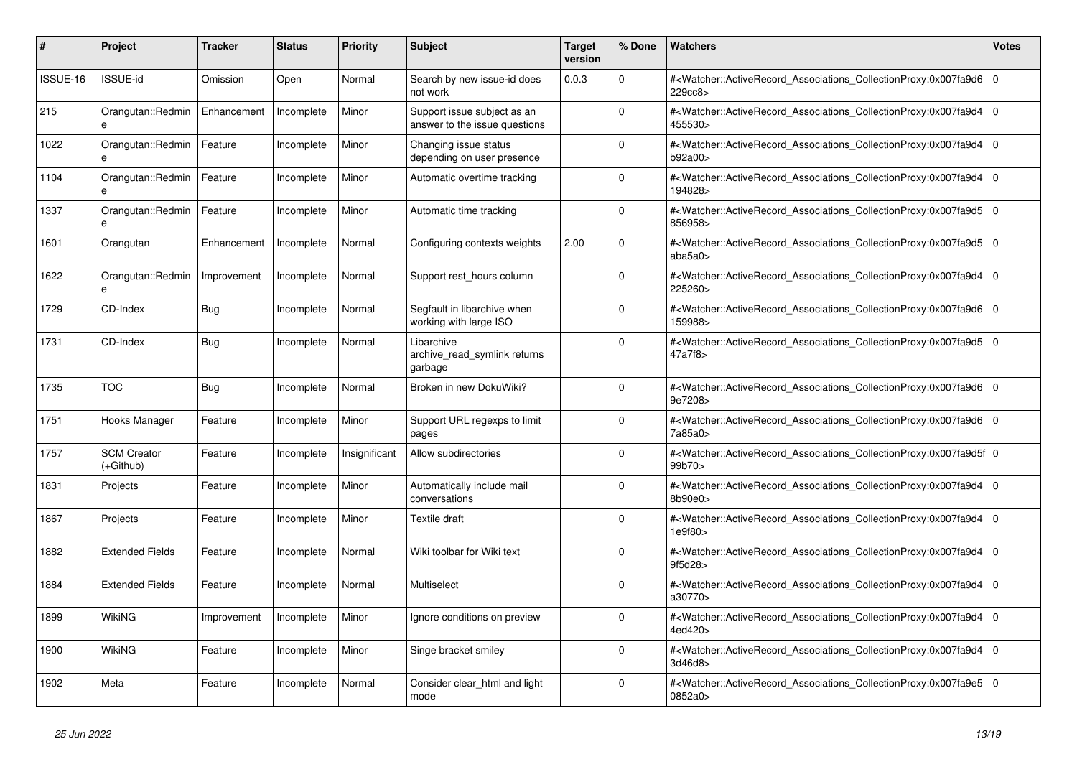| #        | <b>Project</b>                    | <b>Tracker</b> | <b>Status</b> | <b>Priority</b> | <b>Subject</b>                                               | <b>Target</b><br>version | % Done   | <b>Watchers</b>                                                                                                                                          | <b>Votes</b> |
|----------|-----------------------------------|----------------|---------------|-----------------|--------------------------------------------------------------|--------------------------|----------|----------------------------------------------------------------------------------------------------------------------------------------------------------|--------------|
| ISSUE-16 | <b>ISSUE-id</b>                   | Omission       | Open          | Normal          | Search by new issue-id does<br>not work                      | 0.0.3                    | $\Omega$ | # <watcher::activerecord_associations_collectionproxy:0x007fa9d6<br>229cc8&gt;</watcher::activerecord_associations_collectionproxy:0x007fa9d6<br>        | $\mathbf 0$  |
| 215      | Orangutan::Redmin<br>e            | Enhancement    | Incomplete    | Minor           | Support issue subject as an<br>answer to the issue questions |                          | $\Omega$ | # <watcher::activerecord associations="" collectionproxy:0x007fa9d4<br="">455530&gt;</watcher::activerecord>                                             | $\Omega$     |
| 1022     | Orangutan::Redmin<br>$\mathbf{a}$ | Feature        | Incomplete    | Minor           | Changing issue status<br>depending on user presence          |                          | $\Omega$ | # <watcher::activerecord_associations_collectionproxy:0x007fa9d4 0<br=""  ="">b92a00&gt;</watcher::activerecord_associations_collectionproxy:0x007fa9d4> |              |
| 1104     | Orangutan::Redmin                 | Feature        | Incomplete    | Minor           | Automatic overtime tracking                                  |                          | $\Omega$ | # <watcher::activerecord_associations_collectionproxy:0x007fa9d4<br>194828&gt;</watcher::activerecord_associations_collectionproxy:0x007fa9d4<br>        | $\mathbf 0$  |
| 1337     | Orangutan::Redmin<br>e            | Feature        | Incomplete    | Minor           | Automatic time tracking                                      |                          | $\Omega$ | # <watcher::activerecord associations="" collectionproxy:0x007fa9d5<br="">856958&gt;</watcher::activerecord>                                             | $\Omega$     |
| 1601     | Orangutan                         | Enhancement    | Incomplete    | Normal          | Configuring contexts weights                                 | 2.00                     | $\Omega$ | # <watcher::activerecord 0<br="" associations="" collectionproxy:0x007fa9d5=""  ="">abab5a0</watcher::activerecord>                                      |              |
| 1622     | Orangutan::Redmin<br>$\mathbf{a}$ | Improvement    | Incomplete    | Normal          | Support rest hours column                                    |                          | $\Omega$ | # <watcher::activerecord associations="" collectionproxy:0x007fa9d4<br="">225260&gt;</watcher::activerecord>                                             | $\mathbf 0$  |
| 1729     | CD-Index                          | Bug            | Incomplete    | Normal          | Segfault in libarchive when<br>working with large ISO        |                          | $\Omega$ | # <watcher::activerecord_associations_collectionproxy:0x007fa9d6 0<br=""  ="">159988&gt;</watcher::activerecord_associations_collectionproxy:0x007fa9d6> |              |
| 1731     | CD-Index                          | Bug            | Incomplete    | Normal          | Libarchive<br>archive read symlink returns<br>garbage        |                          | $\Omega$ | # <watcher::activerecord_associations_collectionproxy:0x007fa9d5 0<br=""  ="">47a7f8&gt;</watcher::activerecord_associations_collectionproxy:0x007fa9d5> |              |
| 1735     | <b>TOC</b>                        | <b>Bug</b>     | Incomplete    | Normal          | Broken in new DokuWiki?                                      |                          | $\Omega$ | # <watcher::activerecord_associations_collectionproxy:0x007fa9d6 0<br=""  ="">9e7208&gt;</watcher::activerecord_associations_collectionproxy:0x007fa9d6> |              |
| 1751     | Hooks Manager                     | Feature        | Incomplete    | Minor           | Support URL regexps to limit<br>pages                        |                          | $\Omega$ | # <watcher::activerecord associations="" collectionproxy:0x007fa9d6<br="">7a85a0&gt;</watcher::activerecord>                                             | $\mathbf 0$  |
| 1757     | <b>SCM Creator</b><br>(+Github)   | Feature        | Incomplete    | Insignificant   | Allow subdirectories                                         |                          | $\Omega$ | # <watcher::activerecord 0<br="" associations="" collectionproxy:0x007fa9d5f=""  ="">99b70&gt;</watcher::activerecord>                                   |              |
| 1831     | Projects                          | Feature        | Incomplete    | Minor           | Automatically include mail<br>conversations                  |                          | $\Omega$ | # <watcher::activerecord_associations_collectionproxy:0x007fa9d4<br>8b90e0&gt;</watcher::activerecord_associations_collectionproxy:0x007fa9d4<br>        | $\Omega$     |
| 1867     | Projects                          | Feature        | Incomplete    | Minor           | Textile draft                                                |                          | $\Omega$ | # <watcher::activerecord_associations_collectionproxy:0x007fa9d4 0<br=""  ="">1e9f80&gt;</watcher::activerecord_associations_collectionproxy:0x007fa9d4> |              |
| 1882     | <b>Extended Fields</b>            | Feature        | Incomplete    | Normal          | Wiki toolbar for Wiki text                                   |                          | $\Omega$ | # <watcher::activerecord_associations_collectionproxy:0x007fa9d4 0<br=""  ="">9f5d28&gt;</watcher::activerecord_associations_collectionproxy:0x007fa9d4> |              |
| 1884     | <b>Extended Fields</b>            | Feature        | Incomplete    | Normal          | Multiselect                                                  |                          | $\Omega$ | # <watcher::activerecord_associations_collectionproxy:0x007fa9d4<br>a30770&gt;</watcher::activerecord_associations_collectionproxy:0x007fa9d4<br>        | $\Omega$     |
| 1899     | WikiNG                            | Improvement    | Incomplete    | Minor           | Ignore conditions on preview                                 |                          | $\Omega$ | # <watcher::activerecord associations="" collectionproxy:0x007fa9d4<br="">4ed420&gt;</watcher::activerecord>                                             | $\Omega$     |
| 1900     | <b>WikiNG</b>                     | Feature        | Incomplete    | Minor           | Singe bracket smiley                                         |                          | $\Omega$ | # <watcher::activerecord_associations_collectionproxy:0x007fa9d4  <br="">3d46d8&gt;</watcher::activerecord_associations_collectionproxy:0x007fa9d4>      | $\mathbf 0$  |
| 1902     | Meta                              | Feature        | Incomplete    | Normal          | Consider clear_html and light<br>mode                        |                          | $\Omega$ | # <watcher::activerecord_associations_collectionproxy:0x007fa9e5<br>0852a0&gt;</watcher::activerecord_associations_collectionproxy:0x007fa9e5<br>        | $\Omega$     |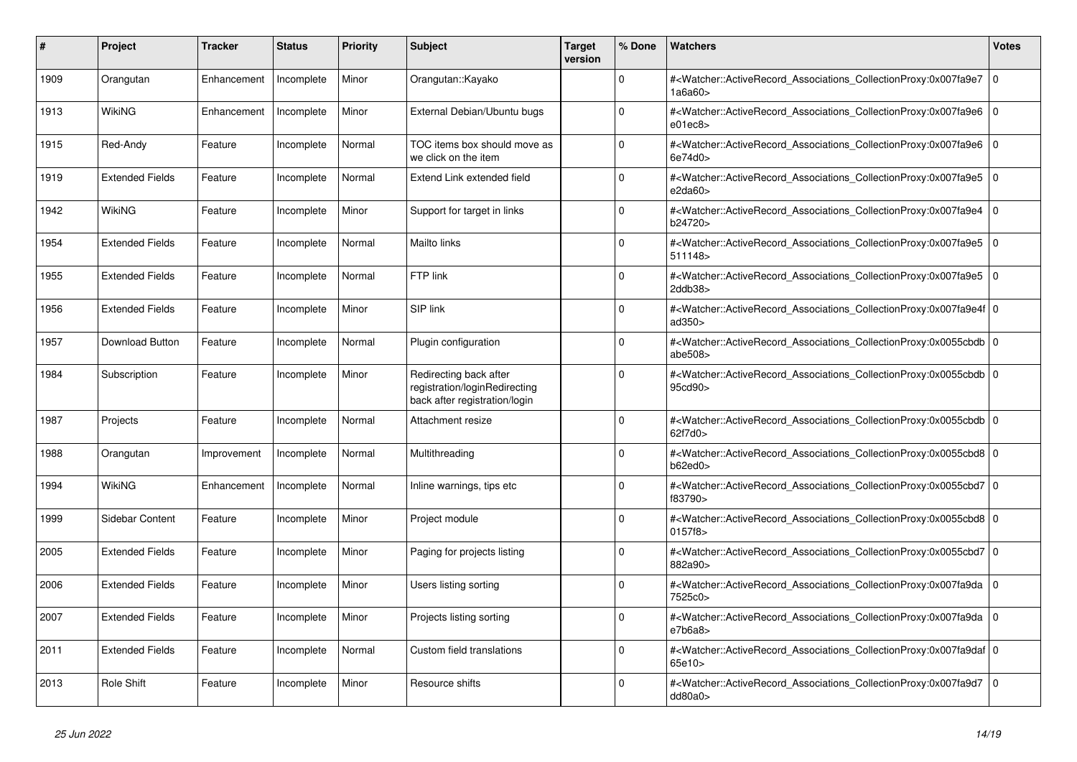| #    | <b>Project</b>         | <b>Tracker</b> | <b>Status</b> | <b>Priority</b> | <b>Subject</b>                                                                           | <b>Target</b><br>version | % Done   | <b>Watchers</b>                                                                                                                                                   | <b>Votes</b> |
|------|------------------------|----------------|---------------|-----------------|------------------------------------------------------------------------------------------|--------------------------|----------|-------------------------------------------------------------------------------------------------------------------------------------------------------------------|--------------|
| 1909 | Orangutan              | Enhancement    | Incomplete    | Minor           | Orangutan::Kayako                                                                        |                          | $\Omega$ | # <watcher::activerecord_associations_collectionproxy:0x007fa9e7<br>1a6a60&gt;</watcher::activerecord_associations_collectionproxy:0x007fa9e7<br>                 | l O          |
| 1913 | WikiNG                 | Enhancement    | Incomplete    | Minor           | External Debian/Ubuntu bugs                                                              |                          | $\Omega$ | # <watcher::activerecord associations="" collectionproxy:0x007fa9e6<br="">e01ec8</watcher::activerecord>                                                          | $\Omega$     |
| 1915 | Red-Andy               | Feature        | Incomplete    | Normal          | TOC items box should move as<br>we click on the item                                     |                          | $\Omega$ | # <watcher::activerecord_associations_collectionproxy:0x007fa9e6 0<br=""  ="">6e74d0&gt;</watcher::activerecord_associations_collectionproxy:0x007fa9e6>          |              |
| 1919 | <b>Extended Fields</b> | Feature        | Incomplete    | Normal          | Extend Link extended field                                                               |                          | $\Omega$ | # <watcher::activerecord_associations_collectionproxy:0x007fa9e5<br>e2da60</watcher::activerecord_associations_collectionproxy:0x007fa9e5<br>                     | $\Omega$     |
| 1942 | WikiNG                 | Feature        | Incomplete    | Minor           | Support for target in links                                                              |                          | $\Omega$ | # <watcher::activerecord_associations_collectionproxy:0x007fa9e4<br>b24720&gt;</watcher::activerecord_associations_collectionproxy:0x007fa9e4<br>                 | $\mathbf 0$  |
| 1954 | <b>Extended Fields</b> | Feature        | Incomplete    | Normal          | Mailto links                                                                             |                          | $\Omega$ | # <watcher::activerecord 0<br="" associations="" collectionproxy:0x007fa9e5=""  ="">511148&gt;</watcher::activerecord>                                            |              |
| 1955 | <b>Extended Fields</b> | Feature        | Incomplete    | Normal          | FTP link                                                                                 |                          | $\Omega$ | # <watcher::activerecord associations="" collectionproxy:0x007fa9e5<br="">2ddb38&gt;</watcher::activerecord>                                                      | $\mathbf 0$  |
| 1956 | <b>Extended Fields</b> | Feature        | Incomplete    | Minor           | SIP link                                                                                 |                          | $\Omega$ | # <watcher::activerecord_associations_collectionproxy:0x007fa9e4f 0<br=""  ="">ad350&gt;</watcher::activerecord_associations_collectionproxy:0x007fa9e4f>         |              |
| 1957 | <b>Download Button</b> | Feature        | Incomplete    | Normal          | Plugin configuration                                                                     |                          | $\Omega$ | # <watcher::activerecord_associations_collectionproxy:0x0055cbdb 0<br=""  ="">abe<math>508</math></watcher::activerecord_associations_collectionproxy:0x0055cbdb> |              |
| 1984 | Subscription           | Feature        | Incomplete    | Minor           | Redirecting back after<br>registration/loginRedirecting<br>back after registration/login |                          | $\Omega$ | # <watcher::activerecord 0<br="" associations="" collectionproxy:0x0055cbdb=""  ="">95cd90&gt;</watcher::activerecord>                                            |              |
| 1987 | Projects               | Feature        | Incomplete    | Normal          | Attachment resize                                                                        |                          | $\Omega$ | # <watcher::activerecord 0<br="" associations="" collectionproxy:0x0055cbdb=""  ="">62f7d0&gt;</watcher::activerecord>                                            |              |
| 1988 | Orangutan              | Improvement    | Incomplete    | Normal          | Multithreading                                                                           |                          | $\Omega$ | # <watcher::activerecord 0<br="" associations="" collectionproxy:0x0055cbd8="">b62ed0</watcher::activerecord>                                                     |              |
| 1994 | WikiNG                 | Enhancement    | Incomplete    | Normal          | Inline warnings, tips etc                                                                |                          | $\Omega$ | # <watcher::activerecord_associations_collectionproxy:0x0055cbd7 0<br=""  ="">f83790&gt;</watcher::activerecord_associations_collectionproxy:0x0055cbd7>          |              |
| 1999 | Sidebar Content        | Feature        | Incomplete    | Minor           | Project module                                                                           |                          | $\Omega$ | # <watcher::activerecord 0<br="" associations="" collectionproxy:0x0055cbd8=""  ="">0157f8&gt;</watcher::activerecord>                                            |              |
| 2005 | <b>Extended Fields</b> | Feature        | Incomplete    | Minor           | Paging for projects listing                                                              |                          | $\Omega$ | # <watcher::activerecord 0<br="" associations="" collectionproxy:0x0055cbd7="">882a90&gt;</watcher::activerecord>                                                 |              |
| 2006 | <b>Extended Fields</b> | Feature        | Incomplete    | Minor           | Users listing sorting                                                                    |                          | $\Omega$ | # <watcher::activerecord_associations_collectionproxy:0x007fa9da  <br="">7525c0&gt;</watcher::activerecord_associations_collectionproxy:0x007fa9da>               | $\mathbf 0$  |
| 2007 | <b>Extended Fields</b> | Feature        | Incomplete    | Minor           | Projects listing sorting                                                                 |                          | $\Omega$ | # <watcher::activerecord 0<br="" associations="" collectionproxy:0x007fa9da=""  ="">e7b6a8</watcher::activerecord>                                                |              |
| 2011 | <b>Extended Fields</b> | Feature        | Incomplete    | Normal          | Custom field translations                                                                |                          | $\Omega$ | # <watcher::activerecord 0<br="" associations="" collectionproxy:0x007fa9daf=""  ="">65e10&gt;</watcher::activerecord>                                            |              |
| 2013 | <b>Role Shift</b>      | Feature        | Incomplete    | Minor           | Resource shifts                                                                          |                          | $\Omega$ | # <watcher::activerecord_associations_collectionproxy:0x007fa9d7<br>dd80a0&gt;</watcher::activerecord_associations_collectionproxy:0x007fa9d7<br>                 | $\mathbf 0$  |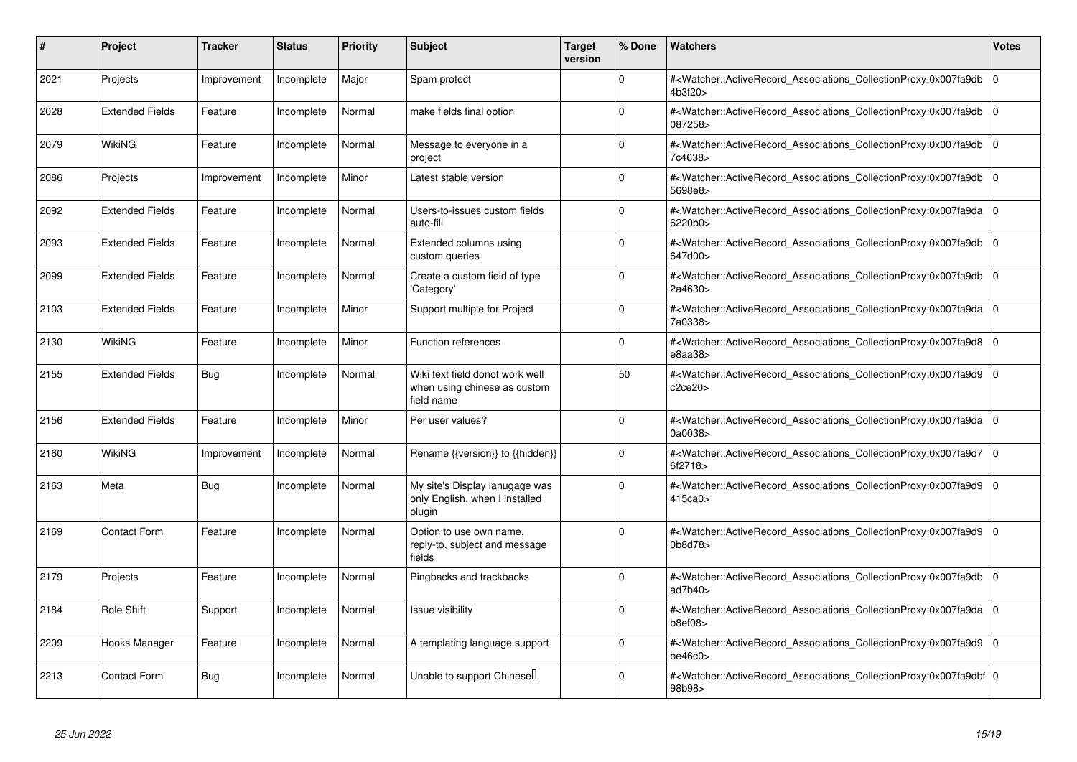| #    | Project                | <b>Tracker</b> | <b>Status</b> | <b>Priority</b> | <b>Subject</b>                                                                | <b>Target</b><br>version | % Done   | Watchers                                                                                                                                                     | <b>Votes</b> |
|------|------------------------|----------------|---------------|-----------------|-------------------------------------------------------------------------------|--------------------------|----------|--------------------------------------------------------------------------------------------------------------------------------------------------------------|--------------|
| 2021 | Projects               | Improvement    | Incomplete    | Major           | Spam protect                                                                  |                          | $\Omega$ | # <watcher::activerecord associations="" collectionproxy:0x007fa9db<br="">4b3f20&gt;</watcher::activerecord>                                                 | $\mathbf 0$  |
| 2028 | <b>Extended Fields</b> | Feature        | Incomplete    | Normal          | make fields final option                                                      |                          | $\Omega$ | # <watcher::activerecord associations="" collectionproxy:0x007fa9db<br="">087258&gt;</watcher::activerecord>                                                 | $\Omega$     |
| 2079 | <b>WikiNG</b>          | Feature        | Incomplete    | Normal          | Message to everyone in a<br>project                                           |                          | $\Omega$ | # <watcher::activerecord associations="" collectionproxy:0x007fa9db<br="">7c4638&gt;</watcher::activerecord>                                                 | l O          |
| 2086 | Projects               | Improvement    | Incomplete    | Minor           | Latest stable version                                                         |                          | $\Omega$ | # <watcher::activerecord_associations_collectionproxy:0x007fa9db<br>5698e8&gt;</watcher::activerecord_associations_collectionproxy:0x007fa9db<br>            | l O          |
| 2092 | <b>Extended Fields</b> | Feature        | Incomplete    | Normal          | Users-to-issues custom fields<br>auto-fill                                    |                          | $\Omega$ | # <watcher::activerecord_associations_collectionproxy:0x007fa9da<br>6220b0&gt;</watcher::activerecord_associations_collectionproxy:0x007fa9da<br>            | l O          |
| 2093 | <b>Extended Fields</b> | Feature        | Incomplete    | Normal          | Extended columns using<br>custom queries                                      |                          | $\Omega$ | # <watcher::activerecord_associations_collectionproxy:0x007fa9db<br>647d00&gt;</watcher::activerecord_associations_collectionproxy:0x007fa9db<br>            | $\Omega$     |
| 2099 | <b>Extended Fields</b> | Feature        | Incomplete    | Normal          | Create a custom field of type<br>'Category'                                   |                          | $\Omega$ | # <watcher::activerecord_associations_collectionproxy:0x007fa9db<br>2a4630&gt;</watcher::activerecord_associations_collectionproxy:0x007fa9db<br>            | l O          |
| 2103 | <b>Extended Fields</b> | Feature        | Incomplete    | Minor           | Support multiple for Project                                                  |                          | $\Omega$ | # <watcher::activerecord associations="" collectionproxy:0x007fa9da<br="">7a0338&gt;</watcher::activerecord>                                                 | $\mathbf 0$  |
| 2130 | WikiNG                 | Feature        | Incomplete    | Minor           | Function references                                                           |                          | 0        | # <watcher::activerecord_associations_collectionproxy:0x007fa9d8<br>e8aa38&gt;</watcher::activerecord_associations_collectionproxy:0x007fa9d8<br>            | $\mathbf 0$  |
| 2155 | <b>Extended Fields</b> | Bug            | Incomplete    | Normal          | Wiki text field donot work well<br>when using chinese as custom<br>field name |                          | 50       | # <watcher::activerecord associations="" collectionproxy:0x007fa9d9<br="">c2ce20&gt;</watcher::activerecord>                                                 | l O          |
| 2156 | <b>Extended Fields</b> | Feature        | Incomplete    | Minor           | Per user values?                                                              |                          | $\Omega$ | # <watcher::activerecord_associations_collectionproxy:0x007fa9da<br>0a0038&gt;</watcher::activerecord_associations_collectionproxy:0x007fa9da<br>            | $\Omega$     |
| 2160 | WikiNG                 | Improvement    | Incomplete    | Normal          | Rename {{version}} to {{hidden}}                                              |                          | $\Omega$ | # <watcher::activerecord_associations_collectionproxy:0x007fa9d7<br>6f2718&gt;</watcher::activerecord_associations_collectionproxy:0x007fa9d7<br>            | l O          |
| 2163 | Meta                   | Bug            | Incomplete    | Normal          | My site's Display lanugage was<br>only English, when I installed<br>plugin    |                          | $\Omega$ | # <watcher::activerecord_associations_collectionproxy:0x007fa9d9<br>415ca0</watcher::activerecord_associations_collectionproxy:0x007fa9d9<br>                | $\mathbf 0$  |
| 2169 | <b>Contact Form</b>    | Feature        | Incomplete    | Normal          | Option to use own name,<br>reply-to, subject and message<br>fields            |                          | $\Omega$ | # <watcher::activerecord_associations_collectionproxy:0x007fa9d9 0<br=""  ="">0b8d78&gt;</watcher::activerecord_associations_collectionproxy:0x007fa9d9>     |              |
| 2179 | Projects               | Feature        | Incomplete    | Normal          | Pingbacks and trackbacks                                                      |                          | $\Omega$ | # <watcher::activerecord associations="" collectionproxy:0x007fa9db<br="">ad7b40&gt;</watcher::activerecord>                                                 | l O          |
| 2184 | <b>Role Shift</b>      | Support        | Incomplete    | Normal          | Issue visibility                                                              |                          | $\Omega$ | # <watcher::activerecord associations="" collectionproxy:0x007fa9da<br="">b8ef08</watcher::activerecord>                                                     | $\Omega$     |
| 2209 | Hooks Manager          | Feature        | Incomplete    | Normal          | A templating language support                                                 |                          | $\Omega$ | # <watcher::activerecord_associations_collectionproxy:0x007fa9d9<br>be46c0<sub>&gt;</sub></watcher::activerecord_associations_collectionproxy:0x007fa9d9<br> | $\Omega$     |
| 2213 | <b>Contact Form</b>    | <b>Bug</b>     | Incomplete    | Normal          | Unable to support Chinesel                                                    |                          | $\Omega$ | # <watcher::activerecord_associations_collectionproxy:0x007fa9dbf 0<br=""  ="">98b98&gt;</watcher::activerecord_associations_collectionproxy:0x007fa9dbf>    |              |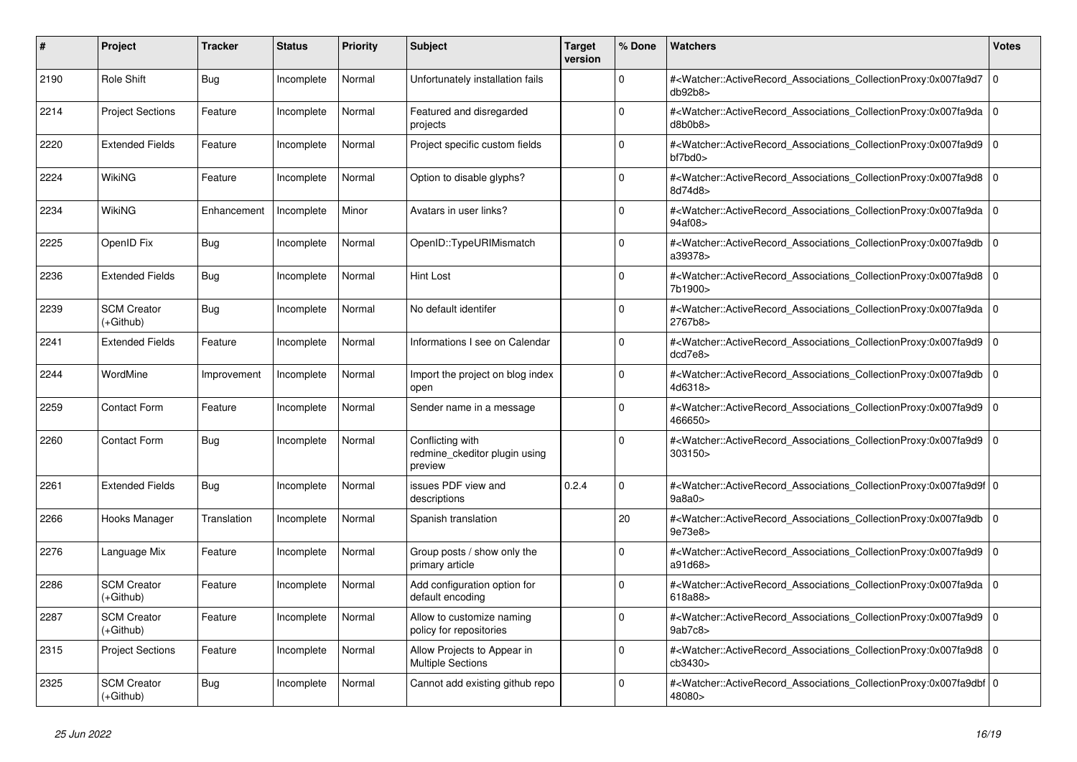| #    | <b>Project</b>                    | <b>Tracker</b> | <b>Status</b> | <b>Priority</b> | <b>Subject</b>                                               | <b>Target</b><br>version | % Done   | <b>Watchers</b>                                                                                                                                                                | <b>Votes</b> |
|------|-----------------------------------|----------------|---------------|-----------------|--------------------------------------------------------------|--------------------------|----------|--------------------------------------------------------------------------------------------------------------------------------------------------------------------------------|--------------|
| 2190 | Role Shift                        | Bug            | Incomplete    | Normal          | Unfortunately installation fails                             |                          | $\Omega$ | # <watcher::activerecord_associations_collectionproxy:0x007fa9d7<br>db92b8</watcher::activerecord_associations_collectionproxy:0x007fa9d7<br>                                  | $\Omega$     |
| 2214 | <b>Project Sections</b>           | Feature        | Incomplete    | Normal          | Featured and disregarded<br>projects                         |                          | $\Omega$ | # <watcher::activerecord_associations_collectionproxy:0x007fa9da 0<br=""  ="">d8b0b8</watcher::activerecord_associations_collectionproxy:0x007fa9da>                           |              |
| 2220 | <b>Extended Fields</b>            | Feature        | Incomplete    | Normal          | Project specific custom fields                               |                          | $\Omega$ | # <watcher::activerecord_associations_collectionproxy:0x007fa9d9 0<br=""  =""><math>bf7</math>bd<math>0</math></watcher::activerecord_associations_collectionproxy:0x007fa9d9> |              |
| 2224 | WikiNG                            | Feature        | Incomplete    | Normal          | Option to disable glyphs?                                    |                          | $\Omega$ | # <watcher::activerecord_associations_collectionproxy:0x007fa9d8  <br="">8d74d8&gt;</watcher::activerecord_associations_collectionproxy:0x007fa9d8>                            | $\Omega$     |
| 2234 | WikiNG                            | Enhancement    | Incomplete    | Minor           | Avatars in user links?                                       |                          | $\Omega$ | # <watcher::activerecord_associations_collectionproxy:0x007fa9da 0<br=""  ="">94af08&gt;</watcher::activerecord_associations_collectionproxy:0x007fa9da>                       |              |
| 2225 | OpenID Fix                        | Bug            | Incomplete    | Normal          | OpenID::TypeURIMismatch                                      |                          | $\Omega$ | # <watcher::activerecord_associations_collectionproxy:0x007fa9db 0<br=""  ="">a39378&gt;</watcher::activerecord_associations_collectionproxy:0x007fa9db>                       |              |
| 2236 | <b>Extended Fields</b>            | Bug            | Incomplete    | Normal          | <b>Hint Lost</b>                                             |                          | $\Omega$ | # <watcher::activerecord associations="" collectionproxy:0x007fa9d8<br="">7b1900&gt;</watcher::activerecord>                                                                   | $\mathbf 0$  |
| 2239 | <b>SCM Creator</b><br>(+Github)   | Bug            | Incomplete    | Normal          | No default identifer                                         |                          | $\Omega$ | # <watcher::activerecord_associations_collectionproxy:0x007fa9da 0<br=""  ="">2767b8&gt;</watcher::activerecord_associations_collectionproxy:0x007fa9da>                       |              |
| 2241 | <b>Extended Fields</b>            | Feature        | Incomplete    | Normal          | Informations I see on Calendar                               |                          | $\Omega$ | # <watcher::activerecord_associations_collectionproxy:0x007fa9d9 0<br=""  ="">dcd7e8&gt;</watcher::activerecord_associations_collectionproxy:0x007fa9d9>                       |              |
| 2244 | WordMine                          | Improvement    | Incomplete    | Normal          | Import the project on blog index<br>open                     |                          | $\Omega$ | # <watcher::activerecord associations="" collectionproxy:0x007fa9db<br="">4d6318&gt;</watcher::activerecord>                                                                   | $\mathbf 0$  |
| 2259 | <b>Contact Form</b>               | Feature        | Incomplete    | Normal          | Sender name in a message                                     |                          | $\Omega$ | # <watcher::activerecord_associations_collectionproxy:0x007fa9d9  <br="">466650&gt;</watcher::activerecord_associations_collectionproxy:0x007fa9d9>                            | $\Omega$     |
| 2260 | <b>Contact Form</b>               | Bug            | Incomplete    | Normal          | Conflicting with<br>redmine ckeditor plugin using<br>preview |                          | $\Omega$ | # <watcher::activerecord associations="" collectionproxy:0x007fa9d9<br="">303150&gt;</watcher::activerecord>                                                                   | $\mathbf 0$  |
| 2261 | <b>Extended Fields</b>            | <b>Bug</b>     | Incomplete    | Normal          | issues PDF view and<br>descriptions                          | 0.2.4                    | $\Omega$ | # <watcher::activerecord_associations_collectionproxy:0x007fa9d9f 0<br=""  ="">9a8a0&gt;</watcher::activerecord_associations_collectionproxy:0x007fa9d9f>                      |              |
| 2266 | Hooks Manager                     | Translation    | Incomplete    | Normal          | Spanish translation                                          |                          | 20       | # <watcher::activerecord_associations_collectionproxy:0x007fa9db 0<br=""  ="">9e73e8&gt;</watcher::activerecord_associations_collectionproxy:0x007fa9db>                       |              |
| 2276 | Language Mix                      | Feature        | Incomplete    | Normal          | Group posts / show only the<br>primary article               |                          | $\Omega$ | # <watcher::activerecord associations="" collectionproxy:0x007fa9d9<br="">a91d68&gt;</watcher::activerecord>                                                                   | $\mathbf 0$  |
| 2286 | <b>SCM Creator</b><br>(+Github)   | Feature        | Incomplete    | Normal          | Add configuration option for<br>default encoding             |                          | $\Omega$ | # <watcher::activerecord_associations_collectionproxy:0x007fa9da  <br="">618a88&gt;</watcher::activerecord_associations_collectionproxy:0x007fa9da>                            | $\mathbf 0$  |
| 2287 | <b>SCM Creator</b><br>(+Github)   | Feature        | Incomplete    | Normal          | Allow to customize naming<br>policy for repositories         |                          | $\Omega$ | # <watcher::activerecord 0<br="" associations="" collectionproxy:0x007fa9d9=""  ="">9ab7c8</watcher::activerecord>                                                             |              |
| 2315 | <b>Project Sections</b>           | Feature        | Incomplete    | Normal          | Allow Projects to Appear in<br><b>Multiple Sections</b>      |                          | $\Omega$ | # <watcher::activerecord associations="" collectionproxy:0x007fa9d8<br="">cb3430&gt;</watcher::activerecord>                                                                   | $\mathbf 0$  |
| 2325 | <b>SCM Creator</b><br>$(+Github)$ | Bug            | Incomplete    | Normal          | Cannot add existing github repo                              |                          | $\Omega$ | # <watcher::activerecord_associations_collectionproxy:0x007fa9dbf 0<br=""  ="">48080&gt;</watcher::activerecord_associations_collectionproxy:0x007fa9dbf>                      |              |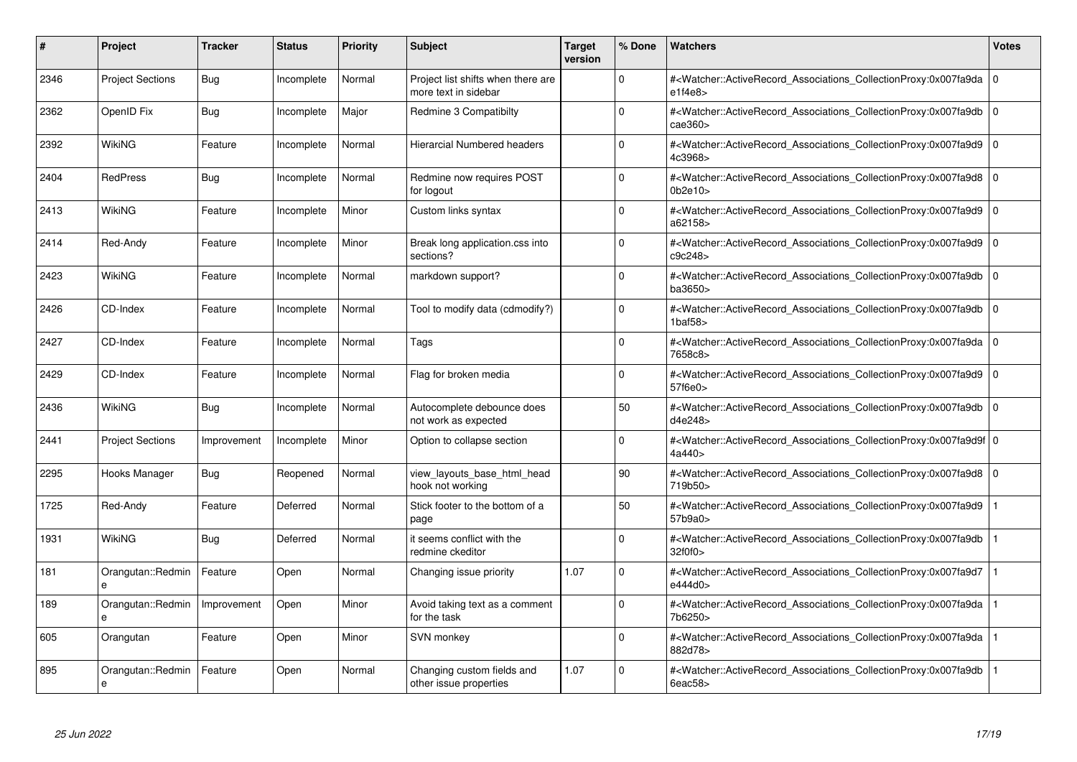| #    | Project                 | <b>Tracker</b> | <b>Status</b> | <b>Priority</b> | <b>Subject</b>                                             | <b>Target</b><br>version | % Done   | <b>Watchers</b>                                                                                                                                                                | <b>Votes</b> |
|------|-------------------------|----------------|---------------|-----------------|------------------------------------------------------------|--------------------------|----------|--------------------------------------------------------------------------------------------------------------------------------------------------------------------------------|--------------|
| 2346 | <b>Project Sections</b> | Bug            | Incomplete    | Normal          | Project list shifts when there are<br>more text in sidebar |                          | $\Omega$ | # <watcher::activerecord 0<br="" associations="" collectionproxy:0x007fa9da=""  ="">e1f4e8</watcher::activerecord>                                                             |              |
| 2362 | OpenID Fix              | Bug            | Incomplete    | Major           | Redmine 3 Compatibilty                                     |                          | $\Omega$ | # <watcher::activerecord 0<br="" associations="" collectionproxy:0x007fa9db=""  ="">cae360</watcher::activerecord>                                                             |              |
| 2392 | WikiNG                  | Feature        | Incomplete    | Normal          | <b>Hierarcial Numbered headers</b>                         |                          | $\Omega$ | # <watcher::activerecord_associations_collectionproxy:0x007fa9d9<br>4c3968&gt;</watcher::activerecord_associations_collectionproxy:0x007fa9d9<br>                              | $\Omega$     |
| 2404 | <b>RedPress</b>         | Bug            | Incomplete    | Normal          | Redmine now requires POST<br>for logout                    |                          | $\Omega$ | # <watcher::activerecord_associations_collectionproxy:0x007fa9d8 0<br="">0b2e10</watcher::activerecord_associations_collectionproxy:0x007fa9d8>                                |              |
| 2413 | WikiNG                  | Feature        | Incomplete    | Minor           | Custom links syntax                                        |                          | $\Omega$ | # <watcher::activerecord_associations_collectionproxy:0x007fa9d9  <br="">a62158&gt;</watcher::activerecord_associations_collectionproxy:0x007fa9d9>                            | $\mathbf 0$  |
| 2414 | Red-Andy                | Feature        | Incomplete    | Minor           | Break long application.css into<br>sections?               |                          | $\Omega$ | # <watcher::activerecord_associations_collectionproxy:0x007fa9d9 0<br="">c9c248&gt;</watcher::activerecord_associations_collectionproxy:0x007fa9d9>                            |              |
| 2423 | WikiNG                  | Feature        | Incomplete    | Normal          | markdown support?                                          |                          | $\Omega$ | # <watcher::activerecord associations="" collectionproxy:0x007fa9db<br="">ba3650&gt;</watcher::activerecord>                                                                   | $\mathbf 0$  |
| 2426 | CD-Index                | Feature        | Incomplete    | Normal          | Tool to modify data (cdmodify?)                            |                          | $\Omega$ | # <watcher::activerecord_associations_collectionproxy:0x007fa9db 0<br=""  =""><math>1</math>baf<math>58</math></watcher::activerecord_associations_collectionproxy:0x007fa9db> |              |
| 2427 | CD-Index                | Feature        | Incomplete    | Normal          | Tags                                                       |                          | $\Omega$ | # <watcher::activerecord_associations_collectionproxy:0x007fa9da 0<br=""  ="">7658c8&gt;</watcher::activerecord_associations_collectionproxy:0x007fa9da>                       |              |
| 2429 | CD-Index                | Feature        | Incomplete    | Normal          | Flag for broken media                                      |                          | $\Omega$ | # <watcher::activerecord associations="" collectionproxy:0x007fa9d9=""  <br="">57f6e0&gt;</watcher::activerecord>                                                              | $\mathbf 0$  |
| 2436 | <b>WikiNG</b>           | <b>Bug</b>     | Incomplete    | Normal          | Autocomplete debounce does<br>not work as expected         |                          | 50       | # <watcher::activerecord_associations_collectionproxy:0x007fa9db 0<br=""  ="">d4e248&gt;</watcher::activerecord_associations_collectionproxy:0x007fa9db>                       |              |
| 2441 | <b>Project Sections</b> | Improvement    | Incomplete    | Minor           | Option to collapse section                                 |                          | $\Omega$ | # <watcher::activerecord 0<br="" associations="" collectionproxy:0x007fa9d9f=""  ="">4a440&gt;</watcher::activerecord>                                                         |              |
| 2295 | Hooks Manager           | Bug            | Reopened      | Normal          | view layouts base html head<br>hook not working            |                          | 90       | # <watcher::activerecord 0<br="" associations="" collectionproxy:0x007fa9d8=""  ="">719b50&gt;</watcher::activerecord>                                                         |              |
| 1725 | Red-Andy                | Feature        | Deferred      | Normal          | Stick footer to the bottom of a<br>page                    |                          | 50       | # <watcher::activerecord_associations_collectionproxy:0x007fa9d9<br>57b9a0&gt;</watcher::activerecord_associations_collectionproxy:0x007fa9d9<br>                              |              |
| 1931 | <b>WikiNG</b>           | Bug            | Deferred      | Normal          | it seems conflict with the<br>redmine ckeditor             |                          | $\Omega$ | # <watcher::activerecord associations="" collectionproxy:0x007fa9db<br="">32f0f0&gt;</watcher::activerecord>                                                                   |              |
| 181  | Orangutan::Redmin<br>e  | Feature        | Open          | Normal          | Changing issue priority                                    | 1.07                     | $\Omega$ | # <watcher::activerecord_associations_collectionproxy:0x007fa9d7<br>e444d0&gt;</watcher::activerecord_associations_collectionproxy:0x007fa9d7<br>                              |              |
| 189  | Orangutan::Redmin<br>e  | Improvement    | Open          | Minor           | Avoid taking text as a comment<br>for the task             |                          | $\Omega$ | # <watcher::activerecord_associations_collectionproxy:0x007fa9da<br>7b6250&gt;</watcher::activerecord_associations_collectionproxy:0x007fa9da<br>                              |              |
| 605  | Orangutan               | Feature        | Open          | Minor           | SVN monkey                                                 |                          | $\Omega$ | # <watcher::activerecord associations="" collectionproxy:0x007fa9da<br="">882d78&gt;</watcher::activerecord>                                                                   |              |
| 895  | Orangutan::Redmin<br>e  | Feature        | Open          | Normal          | Changing custom fields and<br>other issue properties       | 1.07                     | $\Omega$ | # <watcher::activerecord associations="" collectionproxy:0x007fa9db<br="">6eac58&gt;</watcher::activerecord>                                                                   |              |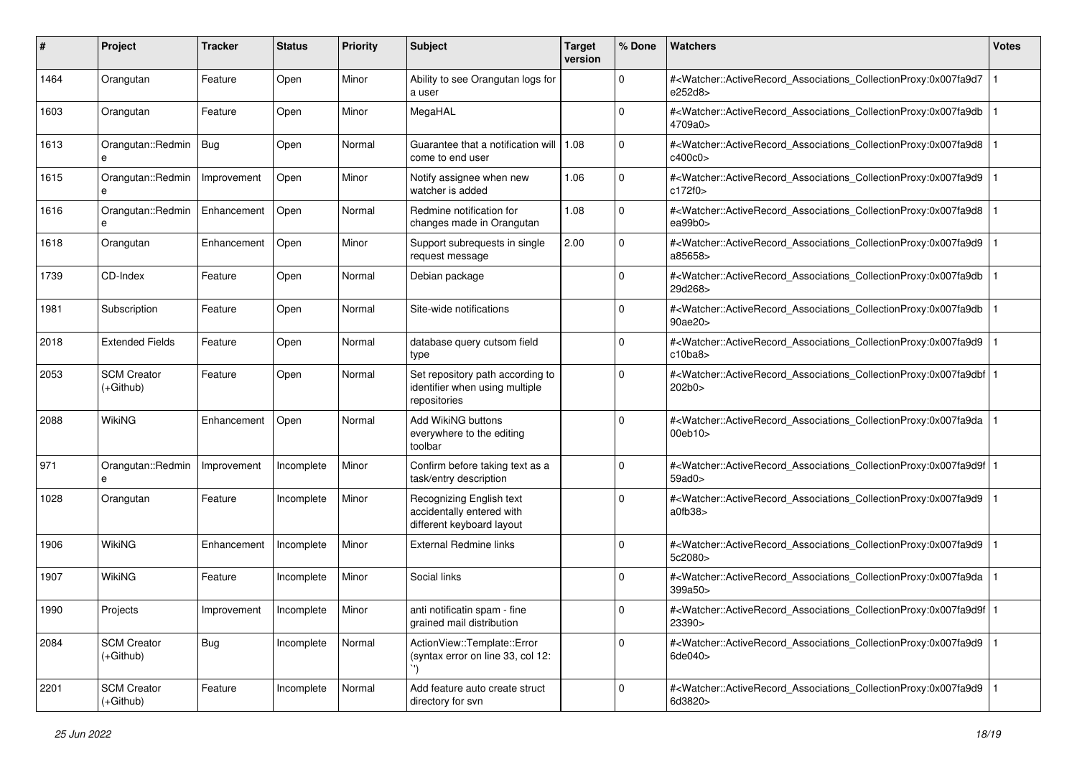| #    | Project                           | <b>Tracker</b>           | <b>Status</b> | <b>Priority</b> | <b>Subject</b>                                                                     | <b>Target</b><br>version | % Done      | Watchers                                                                                                                                                  | <b>Votes</b> |
|------|-----------------------------------|--------------------------|---------------|-----------------|------------------------------------------------------------------------------------|--------------------------|-------------|-----------------------------------------------------------------------------------------------------------------------------------------------------------|--------------|
| 1464 | Orangutan                         | Feature                  | Open          | Minor           | Ability to see Orangutan logs for<br>a user                                        |                          | $\mathbf 0$ | # <watcher::activerecord_associations_collectionproxy:0x007fa9d7<br>e252d8&gt;</watcher::activerecord_associations_collectionproxy:0x007fa9d7<br>         |              |
| 1603 | Orangutan                         | Feature                  | Open          | Minor           | MegaHAL                                                                            |                          | $\Omega$    | # <watcher::activerecord_associations_collectionproxy:0x007fa9db<br>4709a0&gt;</watcher::activerecord_associations_collectionproxy:0x007fa9db<br>         |              |
| 1613 | Orangutan::Redmin<br>e            | <b>Bug</b>               | Open          | Normal          | Guarantee that a notification will<br>come to end user                             | 1.08                     | 0           | # <watcher::activerecord_associations_collectionproxy:0x007fa9d8<br>c400c0&gt;</watcher::activerecord_associations_collectionproxy:0x007fa9d8<br>         |              |
| 1615 | Orangutan::Redmin<br>е            | Improvement              | Open          | Minor           | Notify assignee when new<br>watcher is added                                       | 1.06                     | $\mathbf 0$ | # <watcher::activerecord_associations_collectionproxy:0x007fa9d9<br>c172f0&gt;</watcher::activerecord_associations_collectionproxy:0x007fa9d9<br>         |              |
| 1616 | Orangutan::Redmin<br>e            | Enhancement              | Open          | Normal          | Redmine notification for<br>changes made in Orangutan                              | 1.08                     | $\Omega$    | # <watcher::activerecord_associations_collectionproxy:0x007fa9d8<br>ea99b0&gt;</watcher::activerecord_associations_collectionproxy:0x007fa9d8<br>         |              |
| 1618 | Orangutan                         | Enhancement              | Open          | Minor           | Support subrequests in single<br>request message                                   | 2.00                     | $\Omega$    | # <watcher::activerecord_associations_collectionproxy:0x007fa9d9<br>a85658&gt;</watcher::activerecord_associations_collectionproxy:0x007fa9d9<br>         |              |
| 1739 | CD-Index                          | Feature                  | Open          | Normal          | Debian package                                                                     |                          | $\Omega$    | # <watcher::activerecord_associations_collectionproxy:0x007fa9db<br>29d268&gt;</watcher::activerecord_associations_collectionproxy:0x007fa9db<br>         |              |
| 1981 | Subscription                      | Feature                  | Open          | Normal          | Site-wide notifications                                                            |                          | $\mathbf 0$ | # <watcher::activerecord_associations_collectionproxy:0x007fa9db<br>90ae20&gt;</watcher::activerecord_associations_collectionproxy:0x007fa9db<br>         |              |
| 2018 | <b>Extended Fields</b>            | Feature                  | Open          | Normal          | database query cutsom field<br>type                                                |                          | $\Omega$    | # <watcher::activerecord_associations_collectionproxy:0x007fa9d9<br>c10ba8</watcher::activerecord_associations_collectionproxy:0x007fa9d9<br>             |              |
| 2053 | <b>SCM Creator</b><br>$(+Github)$ | Feature                  | Open          | Normal          | Set repository path according to<br>identifier when using multiple<br>repositories |                          | 0           | # <watcher::activerecord_associations_collectionproxy:0x007fa9dbf<br>202b0&gt;</watcher::activerecord_associations_collectionproxy:0x007fa9dbf<br>        |              |
| 2088 | WikiNG                            | Enhancement              | Open          | Normal          | <b>Add WikiNG buttons</b><br>everywhere to the editing<br>toolbar                  |                          | $\Omega$    | # <watcher::activerecord_associations_collectionproxy:0x007fa9da<br>00eb10&gt;</watcher::activerecord_associations_collectionproxy:0x007fa9da<br>         |              |
| 971  | Orangutan::Redmin<br>e            | Improvement              | Incomplete    | Minor           | Confirm before taking text as a<br>task/entry description                          |                          | $\Omega$    | # <watcher::activerecord_associations_collectionproxy:0x007fa9d9f<br>59ad0&gt;</watcher::activerecord_associations_collectionproxy:0x007fa9d9f<br>        |              |
| 1028 | Orangutan                         | Feature                  | Incomplete    | Minor           | Recognizing English text<br>accidentally entered with<br>different keyboard layout |                          | $\Omega$    | # <watcher::activerecord_associations_collectionproxy:0x007fa9d9<br>a0fb38</watcher::activerecord_associations_collectionproxy:0x007fa9d9<br>             |              |
| 1906 | WikiNG                            | Enhancement              | Incomplete    | Minor           | <b>External Redmine links</b>                                                      |                          | $\Omega$    | # <watcher::activerecord_associations_collectionproxy:0x007fa9d9<br>5c2080&gt;</watcher::activerecord_associations_collectionproxy:0x007fa9d9<br>         |              |
| 1907 | WikiNG                            | Feature                  | Incomplete    | Minor           | Social links                                                                       |                          | $\Omega$    | # <watcher::activerecord_associations_collectionproxy:0x007fa9da<br>399a50&gt;</watcher::activerecord_associations_collectionproxy:0x007fa9da<br>         |              |
| 1990 | Projects                          | Improvement   Incomplete |               | Minor           | anti notificatin spam - fine<br>grained mail distribution                          |                          | 0           | # <watcher::activerecord_associations_collectionproxy:0x007fa9d9f 1<br=""  ="">23390&gt;</watcher::activerecord_associations_collectionproxy:0x007fa9d9f> |              |
| 2084 | <b>SCM Creator</b><br>$(+Github)$ | Bug                      | Incomplete    | Normal          | ActionView::Template::Error<br>(syntax error on line 33, col 12:                   |                          | $\mathbf 0$ | # <watcher::activerecord_associations_collectionproxy:0x007fa9d9<br>6de040&gt;</watcher::activerecord_associations_collectionproxy:0x007fa9d9<br>         |              |
| 2201 | <b>SCM Creator</b><br>$(+Github)$ | Feature                  | Incomplete    | Normal          | Add feature auto create struct<br>directory for svn                                |                          | $\Omega$    | # <watcher::activerecord associations="" collectionproxy:0x007fa9d9<br="">6d3820&gt;</watcher::activerecord>                                              |              |